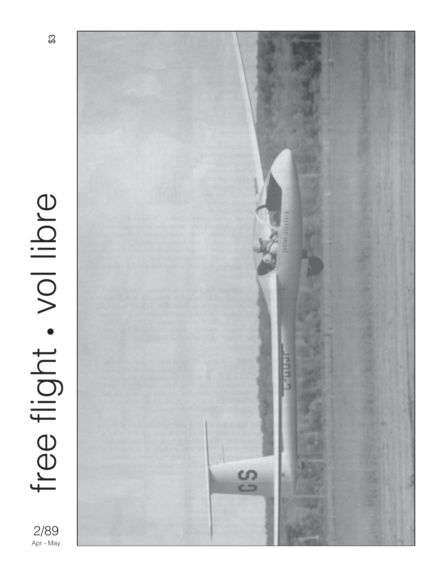

2/89<br>Apr - May



 $\mathfrak{B}$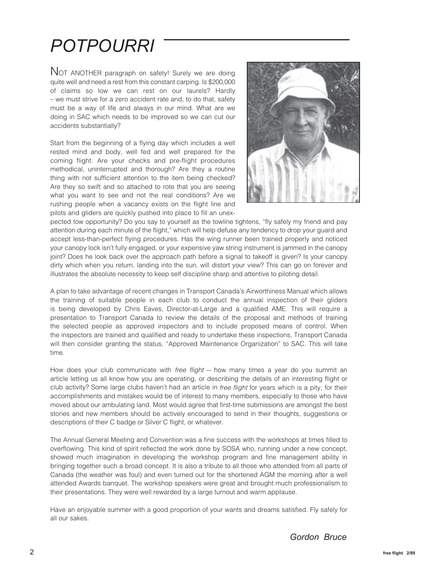## *POTPOURRI*

NOT ANOTHER paragraph on safety! Surely we are doing quite well and need a rest from this constant carping. Is \$200,000 of claims so low we can rest on our laurels? Hardly – we must strive for a zero accident rate and, to do that, safety must be a way of life and always in our mind. What are we doing in SAC which needs to be improved so we can cut our accidents substantially?

Start from the beginning of a flying day which includes a well rested mind and body, well fed and well prepared for the coming flight. Are your checks and pre-flight procedures methodical, uninterrupted and thorough? Are they a routine thing with not sufficient attention to the item being checked? Are they so swift and so attached to rote that you are seeing what you want to see and not the real conditions? Are we rushing people when a vacancy exists on the flight line and pilots and gliders are quickly pushed into place to fill an unex-



pected tow opportunity? Do you say to yourself as the towline tightens, "fly safely my friend and pay attention during each minute of the flight," which will help defuse any tendency to drop your guard and accept less-than-perfect flying procedures. Has the wing runner been trained properly and noticed your canopy lock isn't fully engaged, or your expensive yaw string instrument is jammed in the canopy joint? Does he look back over the approach path before a signal to takeoff is given? Is your canopy dirty which when you return, landing into the sun, will distort your view? This can go on forever and illustrates the absolute necessity to keep self discipline sharp and attentive to piloting detail.

A plan to take advantage of recent changes in Transport Canada's Airworthiness Manual which allows the training of suitable people in each club to conduct the annual inspection of their gliders is being developed by Chris Eaves, Director-at-Large and a qualified AME. This will require a presentation to Transport Canada to review the details of the proposal and methods of training the selected people as approved inspectors and to include proposed means of control. When the inspectors are trained and qualified and ready to undertake these inspections, Transport Canada will then consider granting the status, "Approved Maintenance Organization" to SAC. This will take time.

How does your club communicate with free flight — how many times a year do you summit an article letting us all know how you are operating, or describing the details of an interesting flight or club activity? Some large clubs haven't had an article in free flight for years which is a pity, for their accomplishments and mistakes would be of interest to many members, especially to those who have moved about our ambulating land. Most would agree that first-time submissions are amongst the best stories and new members should be actively encouraged to send in their thoughts, suggestions or descriptions of their C badge or Silver C flight, or whatever.

The Annual General Meeting and Convention was a fine success with the workshops at times filled to overflowing. This kind of spirit reflected the work done by SOSA who, running under a new concept, showed much imagination in developing the workshop program and fine management ability in bringing together such a broad concept. It is also a tribute to all those who attended from all parts of Canada (the weather was foul) and even turned out for the shortened AGM the morning after a well attended Awards banquet. The workshop speakers were great and brought much professionalism to their presentations. They were well rewarded by a large turnout and warm applause.

Have an enjoyable summer with a good proportion of your wants and dreams satisfied. Fly safely for all our sakes.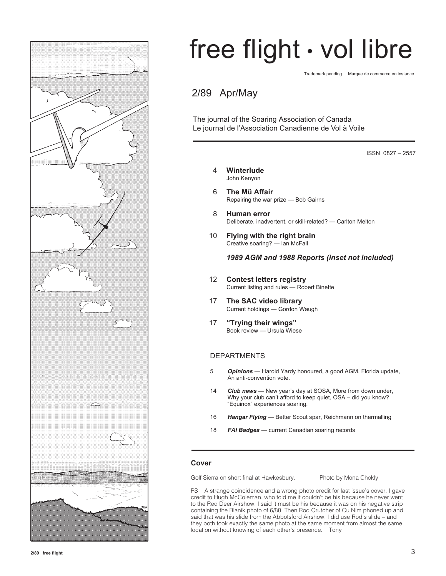

# free flight • vol libre

Trademark pending Marque de commerce en instance

### 2/89 Apr/May

The journal of the Soaring Association of Canada Le journal de l'Association Canadienne de Vol à Voile

ISSN 0827 – 2557

- 4 **Winterlude** John Kenyon
- 6 **The Mü Affair** Repairing the war prize — Bob Gairns
- 8 **Human error** Deliberate, inadvertent, or skill-related? — Carlton Melton
- 10 **Flying with the right brain** Creative soaring? — Ian McFall

*1989 AGM and 1988 Reports (inset not included)*

- 12 **Contest letters registry** Current listing and rules — Robert Binette
- 17 **The SAC video library** Current holdings — Gordon Waugh
- 17 **"Trying their wings"** Book review — Ursula Wiese

#### DEPARTMENTS

- 5 *Opinions* Harold Yardy honoured, a good AGM, Florida update, An anti-convention vote.
- 14 *Club news*  New year's day at SOSA, More from down under, Why your club can't afford to keep quiet, OSA – did you know? "Equinox" experiences soaring.
- 16 *Hangar Flying* Better Scout spar, Reichmann on thermalling
- 18 *FAI Badges* current Canadian soaring records

#### **Cover**

Golf Sierra on short final at Hawkesbury. Photo by Mona Chokly

PS A strange coincidence and a wrong photo credit for last issue's cover. I gave credit to Hugh McColeman, who told me it couldn't be his because he never went to the Red Deer Airshow. I said it must be his because it was on his negative strip containing the Blanik photo of 6/88. Then Rod Crutcher of Cu Nim phoned up and said that was his slide from the Abbotsford Airshow. I did use Rod's slide – and they both took exactly the same photo at the same moment from almost the same location without knowing of each other's presence. Tony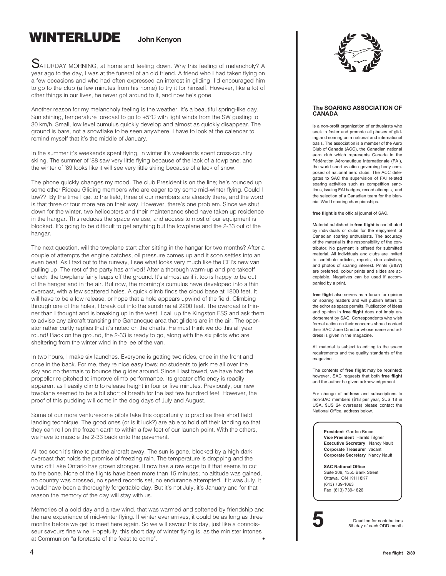### **WINTERLUDE John Kenyon**

SATURDAY MORNING, at home and feeling down. Why this feeling of melancholy? A year ago to the day, I was at the funeral of an old friend. A friend who I had taken flying on a few occasions and who had often expressed an interest in gliding. I'd encouraged him to go to the club (a few minutes from his home) to try it for himself. However, like a lot of other things in our lives, he never got around to it, and now he's gone.

Another reason for my melancholy feeling is the weather. It's a beautiful spring-like day. Sun shining, temperature forecast to go to +5°C with light winds from the SW gusting to 30 km/h. Small, low level cumulus quickly develop and almost as quickly disappear. The ground is bare, not a snowflake to be seen anywhere. I have to look at the calendar to remind myself that it's the middle of January.

In the summer it's weekends spent flying, in winter it's weekends spent cross-country skiing. The summer of '88 saw very little flying because of the lack of a towplane; and the winter of '89 looks like it will see very little skiing because of a lack of snow.

The phone quickly changes my mood. The club President is on the line; he's rounded up some other Rideau Gliding members who are eager to try some mid-winter flying. Could I tow?? By the time I get to the field, three of our members are already there, and the word is that three or four more are on their way. However, there's one problem. Since we shut down for the winter, two helicopters and their maintenance shed have taken up residence in the hangar. This reduces the space we use, and access to most of our equipment is blocked. It's going to be difficult to get anything but the towplane and the 2-33 out of the hangar.

The next question, will the towplane start after sitting in the hangar for two months? After a couple of attempts the engine catches, oil pressure comes up and it soon settles into an even beat. As I taxi out to the runway, I see what looks very much like the CFI's new van pulling up. The rest of the party has arrived! After a thorough warm-up and pre-takeoff check, the towplane fairly leaps off the ground. It's almost as if it too is happy to be out of the hangar and in the air. But now, the morning's cumulus have developed into a thin overcast, with a few scattered holes. A quick climb finds the cloud base at 1800 feet. It will have to be a low release, or hope that a hole appears upwind of the field. Climbing through one of the holes, I break out into the sunshine at 2200 feet. The overcast is thinner than I thought and is breaking up in the west. I call up the Kingston FSS and ask them to advise any aircraft transiting the Gananoque area that gliders are in the air. The operator rather curtly replies that it's noted on the charts. He must think we do this all year round! Back on the ground, the 2-33 is ready to go, along with the six pilots who are sheltering from the winter wind in the lee of the van.

In two hours, I make six launches. Everyone is getting two rides, once in the front and once in the back. For me, they're nice easy tows; no students to jerk me all over the sky and no thermals to bounce the glider around. Since I last towed, we have had the propellor re-pitched to improve climb performance. Its greater efficiency is readily apparent as I easily climb to release height in four or five minutes. Previously, our new towplane seemed to be a bit short of breath for the last few hundred feet. However, the proof of this pudding will come in the dog days of July and August.

Some of our more venturesome pilots take this opportunity to practise their short field landing technique. The good ones (or is it luck?) are able to hold off their landing so that they can roll on the frozen earth to within a few feet of our launch point. With the others, we have to muscle the 2-33 back onto the pavement.

All too soon it's time to put the aircraft away. The sun is gone, blocked by a high dark overcast that holds the promise of freezing rain. The temperature is dropping and the wind off Lake Ontario has grown stronger. It now has a raw edge to it that seems to cut to the bone. None of the flights have been more than 15 minutes; no altitude was gained, no country was crossed, no speed records set, no endurance attempted. If it was July, it would have been a thoroughly forgettable day. But it's not July, it's January and for that reason the memory of the day will stay with us.

Memories of a cold day and a raw wind, that was warmed and softened by friendship and the rare experience of mid-winter flying. If winter ever arrives, it could be as long as three months before we get to meet here again. So we will savour this day, just like a connoisseur savours fine wine. Hopefully, this short day of winter flying is, as the minister intones at Communion "a foretaste of the feast to come". •



#### **The SOARING ASSOCIATION OF CANADA**

is a non-profit organization of enthusiasts who seek to foster and promote all phases of gliding and soaring on a national and international basis. The association is a member of the Aero Club of Canada (ACC), the Canadian national aero club which represents Canada in the Fédération Aéronautique Internationale (FAI), the world sport aviation governing body composed of national aero clubs. The ACC delegates to SAC the supervision of FAI related soaring activities such as competition sanctions, issuing FAI badges, record attempts, and the selection of a Canadian team for the biennial World soaring championships.

**free flight** is the official journal of SAC.

Material published in **free flight** is contributed by individuals or clubs for the enjoyment of Canadian soaring enthusiasts. The accuracy of the material is the responsibility of the contributor. No payment is offered for submitted material. All individuals and clubs are invited to contribute articles, reports, club activities, and photos of soaring interest. Prints (B&W) are preferred, colour prints and slides are acceptable. Negatives can be used if accompanied by a print.

**free flight** also serves as a forum for opinion on soaring matters and will publish letters to the editor as space permits. Publication of ideas and opinion in **free flight** does not imply endorsement by SAC. Correspondents who wish formal action on their concerns should contact their SAC Zone Director whose name and address is given in the magazine.

All material is subject to editing to the space requirements and the quality standards of the magazine.

The contents of **free flight** may be reprinted; however, SAC requests that both **free flight** and the author be given acknowledgement.

For change of address and subscriptions to non-SAC members (\$18 per year, \$US 18 in USA, \$US 24 overseas) please contact the National Office, address below.

> **President** Gordon Bruce **Vice President** Harald Tilgner **Executive Secretary** Nancy Nault **Corporate Treasurer** vacant **Corporate Secretary** Nancy Nault

**SAC National Office** Suite 306, 1355 Bank Street Ottawa, ON K1H 8K7 (613) 739-1063 Fax (613) 739-1826

**5** Deadline for contributions<br>5th day of each ODD month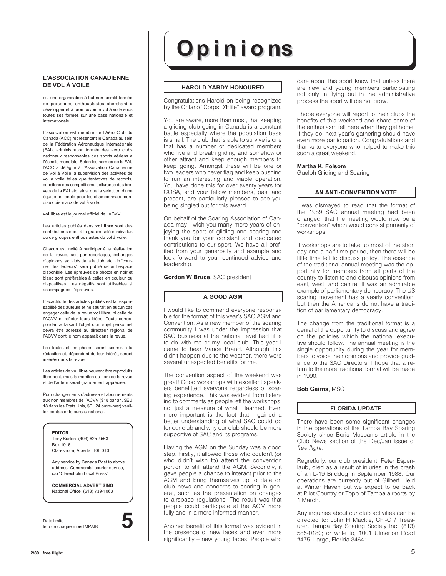#### **L'ASSOCIATION CANADIENNE DE VOL À VOILE**

est une organisation à but non lucratif formée de personnes enthousiastes cherchant à développer et à promouvoir le vol à voile sous toutes ses formes sur une base nationale et internationale.

L'association est membre de l'Aéro Club du Canada (ACC) représentant le Canada au sein de la Fédération Aéronautique Internationale (FAI), administration formée des aéro clubs nationaux responsables des sports aériens à l'échelle mondiale. Selon les normes de la FAI, l'ACC a délégué à l'Association Canadienne de Vol à Voile la supervision des activités de vol à voile telles que tentatives de records, sanctions des compétitions, délivrance des brevets de la FAI etc. ainsi que la sélection d'une équipe nationale pour les championnats mondiaux biennaux de vol à voile.

**vol libre** est le journal officiel de l'ACVV.

Les articles publiés dans **vol libre** sont des contributions dues à la gracieuseté d'individus ou de groupes enthousiastes du vol à voile.

Chacun est invité à participer à la réalisation de la revue, soit par reportages, échanges d'opinions, activités dans le club, etc. Un "courrier des lecteurs" sera publié selon l'espace disponible. Les épreuves de photos en noir et blanc sont préférables à celles en couleur ou diapositives. Les négatifs sont utilisables si accompagnés d'épreuves.

L'exactitude des articles publiés est la responsabilité des auteurs et ne saurait en aucun cas engager celle de la revue **vol libre,** ni celle de l'ACVV ni refléter leurs idées. Toute correspondance faisant l'objet d'un sujet personnel devra être adressé au directeur régional de l'ACVV dont le nom apparait dans la revue.

Les textes et les photos seront soumis à la rédaction et, dépendant de leur intérêt, seront insérés dans la revue.

Les articles de **vol libre** peuvent être reproduits librement, mais la mention du nom de la revue et de l'auteur serait grandement appréciée.

Pour changements d'adresse et abonnements aux non membres de l'ACVV (\$18 par an, \$EU 18 dans les Etats Unis, \$EU24 outre-mer) veuillez contacter le bureau national.



Date limite le 5 de chaque mois IMPAIR **5**



#### **HAROLD YARDY HONOURED**

Congratulations Harold on being recognized by the Ontario "Corps D'Elite" award program.

You are aware, more than most, that keeping a gliding club going in Canada is a constant battle especially where the population base is small. The club that is able to survive is one that has a number of dedicated members who live and breath gliding and somehow or other attract and keep enough members to keep going. Amongst these will be one or two leaders who never flag and keep pushing to run an interesting and viable operation. You have done this for over twenty years for COSA, and your fellow members, past and present, are particularly pleased to see you being singled out for this award.

On behalf of the Soaring Association of Canada may I wish you many more years of enjoying the sport of gliding and soaring and thank you for your constant and dedicated contributions to our sport. We have all profited from your generosity and example and look forward to your continued advice and leadership.

**Gordon W Bruce**, SAC president

#### **A GOOD AGM**

I would like to commend everyone responsible for the format of this year's SAC AGM and Convention. As a new member of the soaring community I was under the impression that SAC business at the national level had little to do with me or my local club. This year I came to hear Vance Brand. Although this didn't happen due to the weather, there were several unexpected benefits for me.

The convention aspect of the weekend was great! Good workshops with excellent speakers benefitted everyone regardless of soaring experience. This was evident from listening to comments as people left the workshops, not just a measure of what I learned. Even more important is the fact that I gained a better understanding of what SAC could do for our club and why our club should be more supportive of SAC and its programs.

Having the AGM on the Sunday was a good step. Firstly, it allowed those who couldn't (or who didn't wish to) attend the convention portion to still attend the AGM. Secondly, it gave people a chance to interact prior to the AGM and bring themselves up to date on club news and concerns to soaring in general, such as the presentation on changes to airspace regulations. The result was that people could participate at the AGM more fully and in a more informed manner.

Another benefit of this format was evident in the presence of new faces and even more significantly – new young faces. People who

care about this sport know that unless there are new and young members participating not only in flying but in the administrative process the sport will die not grow.

I hope everyone will report to their clubs the benefits of this weekend and share some of the enthusiasm felt here when they get home. If they do, next year's gathering should have even more participation. Congratulations and thanks to everyone who helped to make this such a great weekend.

#### **Martha K. Folsom**

Guelph Gliding and Soaring

#### **AN ANTI-CONVENTION VOTE**

I was dismayed to read that the format of the 1989 SAC annual meeting had been changed, that the meeting would now be a "convention" which would consist primarily of workshops.

If workshops are to take up most of the short day and a half time period, then there will be little time left to discuss policy. The essence of the traditional annual meeting was the opportunity for members from all parts of the country to listen to and discuss opinions from east, west, and centre. It was an admirable example of parliamentary democracy. The US soaring movement has a yearly convention, but then the Americans do not have a tradition of parliamentary democracy.

The change from the traditional format is a denial of the opportunity to discuss and agree on the policies which the national executive should follow. The annual meeting is the single opportunity during the year for members to voice their opinions and provide guidance to the SAC Directors. I hope that a return to the more traditional format will be made in 1990.

#### **Bob Gairns**, MSC

#### **FLORIDA UPDATE**

There have been some significant changes in the operations of the Tampa Bay Soaring Society since Boris Mospan's article in the Club News section of the Dec/Jan issue of free flight.

Regretfully, our club president, Peter Espenlaub, died as a result of injuries in the crash of an L-19 Birddog in September 1988. Our operations are currently out of Gilbert Field at Winter Haven but we expect to be back at Pilot Country or Topp of Tampa airports by 1 March.

Any inquiries about our club activities can be directed to: John H Mackie, CFI-G / Treasurer, Tampa Bay Soaring Society Inc. (813) 585-0180; or write to, 1001 Ulmerton Road #475, Largo, Florida 34641.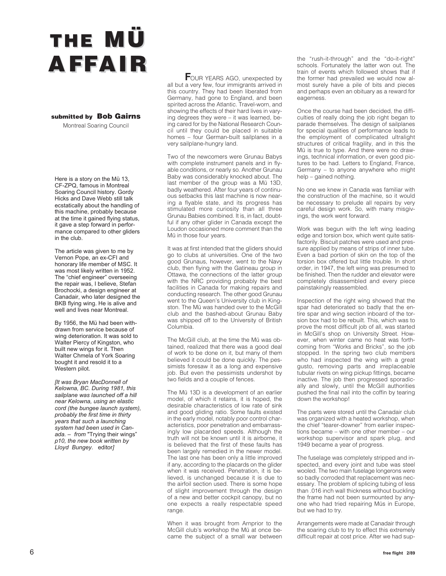# **THE MÜ A F FAIR**

#### **submitted by Bob Gairns**

Montreal Soaring Council

Here is a story on the Mü 13, CF-ZPQ, famous in Montreal Soaring Council history. Gordy Hicks and Dave Webb still talk ecstatically about the handling of this machine, probably because at the time it gained flying status, it gave a step forward in performance compared to other gliders in the club.

The article was given to me by Vernon Pope, an ex-CFI and honorary life member of MSC. It was most likely written in 1952. The "chief engineer" overseeing the repair was, I believe, Stefan Brochocki, a design engineer at Canadair, who later designed the BKB flying wing. He is alive and well and lives near Montreal.

By 1956, the Mü had been withdrawn from service because of wing deterioration. It was sold to Walter Piercy of Kingston, who built new wings for it. Then Walter Chmela of York Soaring bought it and resold it to a Western pilot.

*[It was Bryan MacDonnell of Kelowna, BC. During 1981, this sailplane was launched off a hill near Kelowna, using an elastic cord (the bungee launch system), probably the first time in thirty years that such a launching system had been used in Canada. – from* "Trying their wings" *p10, the new book written by Lloyd Bungey.* editor*]*

**FOUR YEARS AGO, unexpected by** all but a very few, four immigrants arrived in this country. They had been liberated from Germany, had gone to England, and been spirited across the Atlantic. Travel-worn, and showing the effects of their hard lives in varying degrees they were – it was learned, being cared for by the National Research Council until they could be placed in suitable homes – four German-built sailplanes in a very sailplane-hungry land.

Two of the newcomers were Grunau Babys with complete instrument panels and in flyable conditions, or nearly so. Another Grunau Baby was considerably knocked about. The last member of the group was a Mü 13D, badly weathered. After four years of continuous setbacks this last machine is now nearing a flyable state, and its progress has stimulated more curiosity than all three Grunau Babies combined. It is, in fact, doubtful if any other glider in Canada except the Loudon occasioned more comment than the Mü in those four years.

It was at first intended that the gliders should go to clubs at universities. One of the two good Grunaus, however, went to the Navy club, then flying with the Gatineau group in Ottawa, the connections of the latter group with the NRC providing probably the best facilities in Canada for making repairs and conducting research. The other good Grunau went to the Queen's University club in Kingston. The Mü was handed over to the McGill club and the bashed-about Grunau Baby was shipped off to the University of British Columbia.

The McGill club, at the time the Mü was obtained, realized that there was a good deal of work to be done on it, but many of them believed it could be done quickly. The pessimists foresaw it as a long and expensive job. But even the pessimists undershot by two fields and a couple of fences.

The Mü 13D is a development of an earlier model, of which it retains, it is hoped, the desirable characteristics of low rate of sink and good gliding ratio. Some faults existed in the early model, notably poor control characteristics, poor penetration and embarrassingly low placarded speeds. Although the truth will not be known until it is airborne, it is believed that the first of these faults has been largely remedied in the newer model. The last one has been only a little improved if any, according to the placards on the glider when it was received. Penetration, it is believed, is unchanged because it is due to the airfoil section used. There is some hope of slight improvement through the design of a new and better cockpit canopy, but no one expects a really respectable speed range.

When it was brought from Arnprior to the McGill club's workshop the Mü at once became the subject of a small war between the "rush-it-through" and the "do-it-right" schools. Fortunately the latter won out. The train of events which followed shows that if the former had prevailed we would now almost surely have a pile of bits and pieces and perhaps even an obituary as a reward for eagerness.

Once the course had been decided, the difficulties of really doing the job right began to parade themselves. The design of sailplanes for special qualities of performance leads to the employment of complicated ultralight structures of critical fragility, and in this the Mü is true to type. And there were no drawings, technical information, or even good pictures to be had. Letters to England, France, Germany – to anyone anywhere who might help – gained nothing.

No one we knew in Canada was familiar with the construction of the machine, so it would be necessary to prelude all repairs by very careful design work. So, with many misgivings, the work went forward.

Work was begun with the left wing leading edge and torsion box, which went quite satisfactorily. Biscuit patches were used and pressure applied by means of strips of inner tube. Even a bad portion of skin on the top of the torsion box offered but little trouble. In short order, in 1947, the left wing was presumed to be finished. Then the rudder and elevator were completely disassembled and every piece painstakingly reassembled.

Inspection of the right wing showed that the spar had deteriorated so badly that the entire spar and wing section inboard of the torsion box had to be rebuilt. This, which was to prove the most difficult job of all, was started in McGill's shop on University Street. However, when winter came no heat was forthcoming from "Works and Bricks", so the job stopped. In the spring two club members who had inspected the wing with a great gusto, removing parts and irreplaceable tubular rivets on wing pickup fittings, became inactive. The job then progressed sporadically and slowly, until the McGill authorities pushed the final nail into the coffin by tearing down the workshop!

The parts were stored until the Canadair club was organized with a heated workshop, when the chief "tearer-downer" from earlier inspections became – with one other member – our workshop supervisor and spark plug, and 1949 became a year of progress.

The fuselage was completely stripped and inspected, and every joint and tube was steel wooled. The two main fuselage longerons were so badly corroded that replacement was necessary. The problem of splicing tubing of less than .016 inch wall thickness without buckling the frame had not been surmounted by anyone who had tried repairing Müs in Europe, but we had to try.

Arrangements were made at Canadair through the soaring club to try to effect this extremely difficult repair at cost price. After we had sup-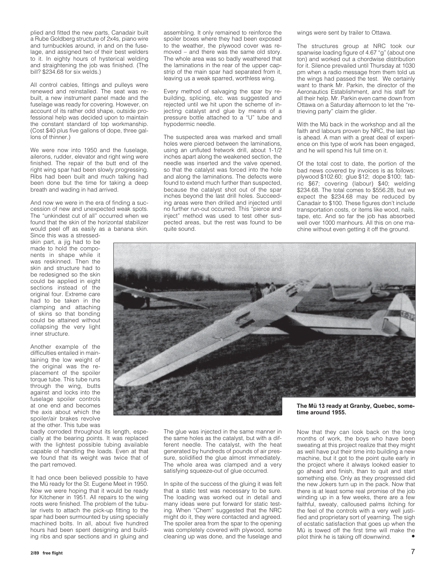plied and fitted the new parts, Canadair built a Rube Goldberg structure of 2x4s, piano wire and turnbuckles around, in and on the fuselage, and assigned two of their best welders to it. In eighty hours of hysterical welding and straightening the job was finished. (The bill? \$234.68 for six welds.)

All control cables, fittings and pulleys were renewed and reinstalled. The seat was rebuilt, a new instrument panel made and the fuselage was ready for covering. However, on account of its rather odd shape, outside professional help was decided upon to maintain the constant standard of top workmanship. (Cost \$40 plus five gallons of dope, three gallons of thinner.)

We were now into 1950 and the fuselage. ailerons, rudder, elevator and right wing were finished. The repair of the butt end of the right wing spar had been slowly progressing. Ribs had been built and much talking had been done but the time for taking a deep breath and wading in had arrived.

And now we were in the era of finding a succession of new and unexpected weak spots. The "unkindest cut of all" occurred when we found that the skin of the horizontal stabilizer would peel off as easily as a banana skin. Since this was a stressed-

skin part, a jig had to be made to hold the components in shape while it was reskinned. Then the skin and structure had to be redesigned so the skin could be applied in eight sections instead of the original four. Extreme care had to be taken in the clamping and attaching of skins so that bonding could be attained without collapsing the very light inner structure.

Another example of the difficulties entailed in maintaining the low weight of the original was the replacement of the spoiler torque tube. This tube runs through the wing, butts against and locks into the fuselage spoiler controls at one end and becomes the axis about which the spoiler/air brakes revolve at the other. This tube was

badly corroded throughout its length, especially at the bearing points. It was replaced with the lightest possible tubing available capable of handling the loads. Even at that we found that its weight was twice that of the part removed.

It had once been believed possible to have the Mü ready for the St. Eugene Meet in 1950. Now we were hoping that it would be ready for Kitchener in 1951. All repairs to the wing roots were finished. The problem of the tubular rivets to attach the pick-up fitting to the spar had been surmounted by using specially machined bolts. In all, about five hundred hours had been spent designing and building ribs and spar sections and in gluing and

assembling. It only remained to reinforce the spoiler boxes where they had been exposed to the weather, the plywood cover was removed – and there was the same old story. The whole area was so badly weathered that the laminations in the rear of the upper capstrip of the main spar had separated from it, leaving us a weak sparred, worthless wing.

Every method of salvaging the spar by rebuilding, splicing, etc. was suggested and rejected until we hit upon the scheme of injecting catalyst and glue by means of a pressure bottle attached to a "U" tube and hypodermic needle.

The suspected area was marked and small holes were pierced between the laminations, using an unfluted fretwork drill, about 1-1/2 inches apart along the weakened section, the needle was inserted and the valve opened, so that the catalyst was forced into the hole and along the laminations. The defects were found to extend much further than suspected, because the catalyst shot out of the spar inches beyond the last drill holes. Succeeding areas were then drilled and injected until no further run-out occurred. This "pierce and inject" method was used to test other suspected areas, but the rest was found to be quite sound.

wings were sent by trailer to Ottawa.

The structures group at NRC took our spanwise loading figure of 4.67 "g" (about one ton) and worked out a chordwise distribution for it. Silence prevailed until Thursday at 1030 pm when a radio message from them told us the wings had passed the test. We certainly want to thank Mr. Parkin, the director of the Aeronautics Establishment, and his staff for all their help. Mr. Parkin even came down from Ottawa on a Saturday afternoon to let the "retrieving party" claim the glider.

With the Mü back in the workshop and all the faith and labours proven by NRC, the last lap is ahead. A man with a great deal of experience on this type of work has been engaged, and he will spend his full time on it.

Of the total cost to date, the portion of the bad news covered by invoices is as follows: plywood \$102.60; glue \$12; dope \$100; fabric \$67; covering (labour) \$40; welding \$234.68. The total comes to \$556.28, but we expect the \$234.68 may be reduced by Canadair to \$100. These figures don't include transportation costs, or items like wood, nails, tape, etc. And so far the job has absorbed well over 1000 manhours. All this on one machine without even getting it off the ground.



The glue was injected in the same manner in the same holes as the catalyst, but with a different needle. The catalyst, with the heat generated by hundreds of pounds of air pressure, solidified the glue almost immediately. The whole area was clamped and a very satisfying squeeze-out of glue occurred.

In spite of the success of the gluing it was felt that a static test was necessary to be sure. The loading was worked out in detail and many ideas were put forward for static testing. When "Chem" suggested that the NRC might do it, they were contacted and agreed. The spoiler area from the spar to the opening was completely covered with plywood, some cleaning up was done, and the fuselage and

### **time around 1955.**

Now that they can look back on the long months of work, the boys who have been sweating at this project realize that they might as well have put their time into building a new machine, but it got to the point quite early in the project where it always looked easier to go ahead and finish, than to quit and start something else. Only as they progressed did the new Jokers turn up in the pack. Now that there is at least some real promise of the job winding up in a few weeks, there are a few faithful, sweaty, calloused palms itching for the feel of the controls with a very well justified and proprietary sort of yearning. The sigh of ecstatic satisfaction that goes up when the Mü is towed off the first time will make the pilot think he is taking off downwind. •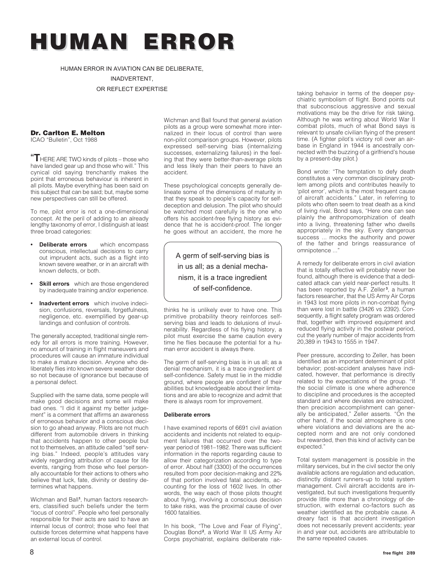## **HUMAN ERROR HUMAN ERROR**

HUMAN ERROR IN AVIATION CAN BE DELIBERATE,

INADVERTENT,

OR REFLECT EXPERTISE

### **Dr. Carlton E. Melton**

ICAO "Bulletin", Oct 1988

**"T** HERE ARE TWO kinds of pilots – those who have landed gear up and those who will." This cynical old saying trenchantly makes the point that erroneous behaviour is inherent in all pilots. Maybe everything has been said on this subject that can be said; but, maybe some new perspectives can still be offered.

To me, pilot error is not a one-dimensional concept. At the peril of adding to an already lengthy taxonomy of error, I distinguish at least three broad categories:

- **Deliberate errors** which encompass conscious, intellectual decisions to carry out imprudent acts, such as a flight into known severe weather, or in an aircraft with known defects, or both.
- **Skill errors** which are those engendered by inadequate training and/or experience.
- **Inadvertent errors** which involve indecision, confusions, reversals, forgetfulness, negligence, etc. exemplified by gear-up landings and confusion of controls.

The generally accepted, traditional single remedy for all errors is more training. However, no amount of training in flight maneuvers and procedures will cause an immature individual to make a mature decision. Anyone who deliberately flies into known severe weather does so not because of ignorance but because of a personal defect.

Supplied with the same data, some people will make good decisions and some will make bad ones. "I did it against my better judgement" is a comment that affirms an awareness of erroneous behavior and a conscious decision to go ahead anyway. Pilots are not much different from automobile drivers in thinking that accidents happen to other people but not to themselves, an attitude called "self serving bias." Indeed, people's attitudes vary widely regarding attribution of cause for life events, ranging from those who feel personally accountable for their actions to others who believe that luck, fate, divinity or destiny determines what happens.

Wichman and Ball**<sup>1</sup>** , human factors researchers, classified such beliefs under the term "locus of control". People who feel personally responsible for their acts are said to have an internal locus of control; those who feel that outside forces determine what happens have an external locus of control.

Wichman and Ball found that general aviation pilots as a group were somewhat more internalized in their locus of control than were non-pilot comparison groups. However, pilots expressed self-serving bias (internalizing successes, externalizing failures) in the feeling that they were better-than-average pilots and less likely than their peers to have an accident.

These psychological concepts generally delineate some of the dimensions of maturity in that they speak to people's capacity for selfdeception and delusion. The pilot who should be watched most carefully is the one who offers his accident-free flying history as evidence that he is accident-proof. The longer he goes without an accident, the more he

A germ of self-serving bias is in us all; as a denial mechanism, it is a trace ingredient of self-confidence.

thinks he is unlikely ever to have one. This primitive probability theory reinforces selfserving bias and leads to delusions of invulnerability. Regardless of his flying history, a pilot must exercise the same caution every time he flies because the potential for a human error accident is always there.

The germ of self-serving bias is in us all; as a denial mechanism, it is a trace ingredient of self-confidence. Safety must lie in the middle ground, where people are confident of their abilities but knowledgeable about their limitations and are able to recognize and admit that there is always room for improvement.

#### **Deliberate errors**

I have examined reports of 6691 civil aviation accidents and incidents not related to equipment failures that occurred over the twoyear period of 1981–1982. There was sufficient information in the reports regarding cause to allow their categorization according to type of error. About half (3300) of the occurrences resulted from poor decision-making and 22% of that portion involved fatal accidents, accounting for the loss of 1602 lives. In other words, the way each of those pilots thought about flying, involving a conscious decision to take risks, was the proximal cause of over 1600 fatalities.

In his book, "The Love and Fear of Flying", Douglas Bond**<sup>2</sup>** , a World War II US Army Air Corps psychiatrist, explains deliberate risktaking behavior in terms of the deeper psychiatric symbolism of flight. Bond points out that subconscious aggressive and sexual motivations may be the drive for risk taking. Although he was writing about World War II combat pilots, much of what Bond says is relevant to unsafe civilian flying of the present time. (A fighter pilot's victory roll over an airbase in England in 1944 is ancestrally connected with the buzzing of a girlfriend's house by a present-day pilot.)

Bond wrote: "The temptation to defy death constitutes a very common disciplinary problem among pilots and contributes heavily to 'pilot error', which is the most frequent cause of aircraft accidents." Later, in referring to pilots who often seem to treat death as a kind of living rival, Bond says, "Here one can see plainly the anthropomorphization of death into a living, threatening father who dwells appropriately in the sky. Every dangerous success ... mocks the authority and power of the father and brings reassurance of omnipotence ...'

A remedy for deliberate errors in civil aviation that is totally effective will probably never be found, although there is evidence that a dedicated attack can yield near-perfect results. It has been reported by A.F. Zeller **<sup>3</sup>** , a human factors researcher, that the US Army Air Corps in 1943 lost more pilots in non-combat flying than were lost in battle (3426 vs 2392). Consequently, a flight safety program was ordered that, together with improved equipment and reduced flying activity in the postwar period, cut the yearly number of major accidents from 20,389 in 1943 to 1555 in 1947.

Peer pressure, according to Zeller, has been identified as an important determinant of pilot behavior; post-accident analyses have indicated, however, that performance is directly related to the expectations of the group. "If the social climate is one where adherence to discipline and procedures is the accepted standard and where deviates are ostracized, then precision accomplishment can generally be anticipated," Zeller asserts. "On the other hand, if the social atmosphere is one where violations and deviations are the accepted norm and are not only condoned but rewarded, then this kind of activity can be expected."

Total system management is possible in the military services, but in the civil sector the only available actions are regulation and education, distinctly distant runners-up to total system management. Civil aircraft accidents are investigated, but such investigations frequently provide little more than a chronology of destruction, with external co-factors such as weather identified as the probable cause. A dreary fact is that accident investigation does not necessarily prevent accidents; year in and year out, accidents are attributable to the same repeated causes.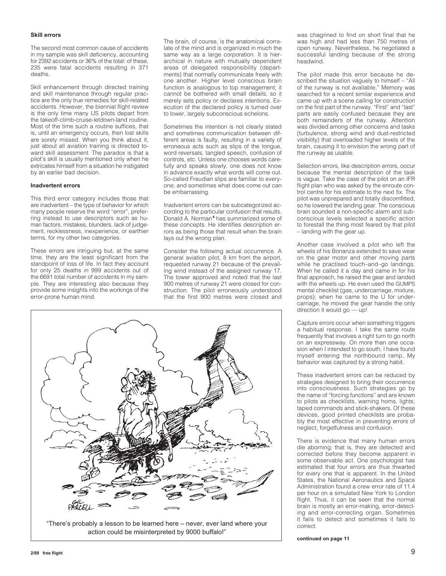#### **Skill errors**

The second most common cause of accidents in my sample was skill deficiency, accounting for 2392 accidents or 36% of the total: of these, 235 were fatal accidents resulting in 371 deaths.

Skill enhancement through directed training and skill maintenance through regular practice are the only true remedies for skill-related accidents. However, the biennial flight review is the only time many US pilots depart from the takeoff-climb-cruise-letdown-land routine. Most of the time such a routine suffices, that is, until an emergency occurs, then lost skills are sorely missed. When you think about it, just about all aviation training is directed toward skill assessment. The paradox is that a pilot's skill is usually mentioned only when he extricates himself from a situation he instigated by an earlier bad decision.

#### **Inadvertent errors**

This third error category includes those that are inadvertent – the type of behavior for which many people reserve the word "error", preferring instead to use descriptors such as human factors, mistakes, blunders, lack of judgement, recklessness, inexperience, or earthier terms, for my other two categories.

These errors are intriguing but, at the same time, they are the least significant from the standpoint of loss of life. In fact they account for only 25 deaths in 999 accidents out of the 6691 total number of accidents in my sample. They are interesting also because they provide some insights into the workings of the error-prone human mind.

The brain, of course, is the anatomical correlate of the mind and is organized in much the same way as a large corporation. It is hierarchical in nature with mutually dependent areas of delegated responsibility (departments) that normally communicate freely with one another. Higher level conscious brain function is analogous to top management; it cannot be bothered with small details, so it merely sets policy or declares intentions. Execution of the declared policy is turned over to lower, largely subconscious echelons.

Sometimes the intention is not clearly stated and sometimes communication between different areas is faulty, resulting in a variety of erroneous acts such as slips of the tongue, word reversals, tangled speech, confusion of controls, etc. Unless one chooses words carefully and speaks slowly, one does not know in advance exactly what words will come out. So-called Freudian slips are familiar to everyone; and sometimes what does come out can be embarrassing.

Inadvertent errors can be subcategorized according to the particular confusion that results. Donald A. Norman**<sup>4</sup>** has summarized some of these concepts. He identifies description errors as being those that result when the brain lays out the wrong plan.

Consider the following actual occurrence. A general aviation pilot, 8 km from the airport, requested runway 21 because of the prevailing wind instead of the assigned runway 17. The tower approved and noted that the last 900 metres of runway 21 were closed for construction. The pilot erroneously understood that the first 900 metres were closed and



"There's probably a lesson to be learned here – never, ever land where your action could be misinterpreted by 9000 buffalo!"

was chagrined to find on short final that he was high and had less than 750 metres of open runway. Nevertheless, he negotiated a successful landing because of the strong headwind.

The pilot made this error because he described the situation vaguely to himself – "All of the runway is not available." Memory was searched for a recent similar experience and came up with a scene calling for construction on the first part of the runway. "First" and "last" parts are easily confused because they are both remainders of the runway. Attention was divided among other concerns and tasks (turbulence, strong wind and dust-restricted visibility) that overloaded higher levels of the brain, causing it to envision the wrong part of the runway as usable.

Selection errors, like description errors, occur because the mental description of the task is vague. Take the case of the pilot on an IFR flight plan who was asked by the enroute control centre for his estimate to the next fix. The pilot was unprepared and totally discomfitted, so he lowered the landing gear. The conscious brain sounded a non-specific alarm and subconscious levels selected a specific action to forestall the thing most feared by that pilot – landing with the gear up.

Another case involved a pilot who left the wheels of his Bonanza extended to save wear on the gear motor and other moving parts while he practised touch–and–go landings. When he called it a day and came in for his final approach, he raised the gear and landed with the wheels up. He even used the GUMPS mental checklist (gas, undercarriage, mixture, props); when he came to the U for undercarriage, he moved the gear handle the only direction it would go — up!

Capture errors occur when something triggers a habitual response. I take the same route frequently that involves a right turn to go north on an expressway. On more than one occasion when I intended to go south, I have found myself entering the northbound ramp. My behavior was captured by a strong habit.

These inadvertent errors can be reduced by strategies designed to bring their occurrence into consciousness. Such strategies go by the name of "forcing functions" and are known to pilots as checklists, warning horns, lights, taped commands and stick-shakers. Of these devices, good printed checklists are probably the most effective in preventing errors of neglect, forgetfulness and confusion.

There is evidence that many human errors die aborning; that is, they are detected and corrected before they become apparent in some observable act. One psychologist has estimated that four errors are thus thwarted for every one that is apparent. In the United States, the National Aeronautics and Space Administration found a crew error rate of 11.4 per hour on a simulated New York to London flight. Thus, it can be seen that the normal brain is mostly an error-making, error-detecting and error-correcting organ. Sometimes it fails to detect and sometimes it fails to correct.

**continued on page 11**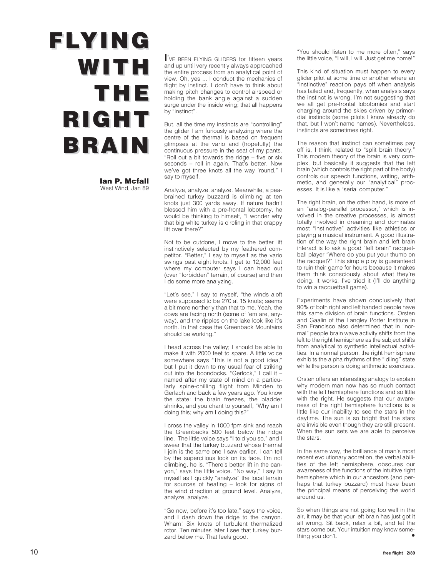## **FLYING WITH THE RIGHT BRAIN**

**Ian P. Mcfall** West Wind, Jan 89 **I**'VE BEEN FLYING GLIDERS for fifteen years and up until very recently always approached the entire process from an analytical point of view. Oh, yes ... I conduct the mechanics of flight by instinct. I don't have to think about making pitch changes to control airspeed or holding the bank angle against a sudden surge under the inside wing; that all happens by "instinct".

But, all the time my instincts are "controlling" the glider I am furiously analyzing where the centre of the thermal is based on frequent glimpses at the vario and (hopefully) the continuous pressure in the seat of my pants. "Roll out a bit towards the ridge – five or six seconds – roll in again. That's better. Now we've got three knots all the way 'round," I say to myself.

Analyze, analyze, analyze. Meanwhile, a peabrained turkey buzzard is climbing at ten knots just 300 yards away. If nature hadn't blessed him with a pre-frontal lobotomy, he would be thinking to himself, "I wonder why that big white turkey is circling in that crappy lift over there?"

Not to be outdone, I move to the better lift instinctively selected by my feathered competitor. "Better," I say to myself as the vario swings past eight knots. I get to 12,000 feet where my computer says I can head out (over "forbidden" terrain, of course) and then I do some more analyzing.

"Let's see," I say to myself, "the winds aloft were supposed to be 270 at 15 knots; seems a bit more northerly than that to me. Yeah, the cows are facing north (some of 'em are, anyway), and the ripples on the lake look like it's north. In that case the Greenback Mountains should be working."

I head across the valley; I should be able to make it with 2000 feet to spare. A little voice somewhere says "This is not a good idea," but I put it down to my usual fear of striking out into the boondocks. "Gerlock," I call it – named after my state of mind on a particularly spine-chilling flight from Minden to Gerlach and back a few years ago. You know the state: the brain freezes, the bladder shrinks, and you chant to yourself, "Why am I doing this; why am I doing this?"

I cross the valley in 1000 fpm sink and reach the Greenbacks 500 feet below the ridge line. The little voice says "I told you so," and I swear that the turkey buzzard whose thermal I join is the same one I saw earlier. I can tell by the supercilious look on its face. I'm not climbing, he is. "There's better lift in the canyon," says the little voice. "No way," I say to myself as I quickly "analyze" the local terrain for sources of heating – look for signs of the wind direction at ground level. Analyze, analyze, analyze.

"Go now, before it's too late," says the voice, and I dash down the ridge to the canyon. Wham! Six knots of turbulent thermalized rotor. Ten minutes later I see that turkey buzzard below me. That feels good.

"You should listen to me more often," says the little voice, "I will, I will. Just get me home!"

This kind of situation must happen to every glider pilot at some time or another where an "instinctive" reaction pays off when analysis has failed and, frequently, when analysis says the instinct is wrong. I'm not suggesting that we all get pre-frontal lobotomies and start charging around the skies driven by primordial instincts (some pilots I know already do that, but I won't name names). Nevertheless, instincts are sometimes right.

The reason that instinct can sometimes pay off is, I think, related to "split brain theory." This modern theory of the brain is very complex, but basically it suggests that the left brain (which controls the right part of the body) controls our speech functions, writing, arithmetic, and generally our "analytical" processes. It is like a "serial computer."

The right brain, on the other hand, is more of an "analog-parallel processor," which is involved in the creative processes, is almost totally involved in dreaming and dominates most "instinctive" activities like athletics or playing a musical instrument. A good illustration of the way the right brain and left brain interact is to ask a good "left brain" racquetball player "Where do you put your thumb on the racquet?" This simple ploy is guaranteed to ruin their game for hours because it makes them think consciously about what they're doing. It works; I've tried it (I'll do anything to win a racquetball game).

Experiments have shown conclusively that 90% of both right and left handed people have this same division of brain functions. Orsten and Gaalin of the Langley Porter Institute in San Francisco also determined that in "normal" people brain wave activity shifts from the left to the right hemisphere as the subject shifts from analytical to synthetic intellectual activities. In a normal person, the right hemisphere exhibits the alpha rhythms of the "idling" state while the person is doing arithmetic exercises.

Orsten offers an interesting analogy to explain why modern man now has so much contact with the left hemisphere functions and so little with the right. He suggests that our awareness of the right hemisphere functions is a little like our inability to see the stars in the daytime. The sun is so bright that the stars are invisible even though they are still present. When the sun sets we are able to perceive the stars.

In the same way, the brilliance of man's most recent evolutionary accretion, the verbal abilities of the left hemisphere, obscures our awareness of the functions of the intuitive right hemisphere which in our ancestors (and perhaps that turkey buzzard) must have been the principal means of perceiving the world around us.

So when things are not going too well in the air, it may be that your left brain has just got it all wrong. Sit back, relax a bit, and let the stars come out. Your intuition may know something you don't.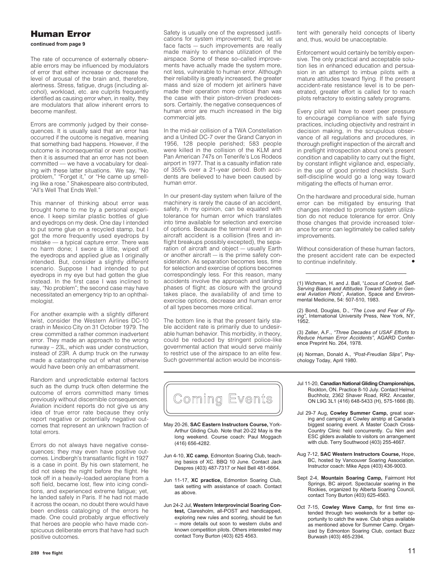#### **Human Error**

**continued from page 9**

The rate of occurrence of externally observable errors may be influenced by modulators of error that either increase or decrease the level of arousal of the brain and, therefore, alertness. Stress, fatigue, drugs (including alcohol), workload, etc. are culprits frequently identified as causing error when, in reality, they are modulators that allow inherent errors to become manifest.

Errors are commonly judged by their consequences. It is usually said that an error has occurred if the outcome is negative, meaning that something bad happens. However, if the outcome is inconsequential or even positive, then it is assumed that an error has not been committed — we have a vocabulary for dealing with these latter situations. We say, "No problem," "Forget it," or "He came up smelling like a rose." Shakespeare also contributed, "All's Well That Ends Well."

This manner of thinking about error was brought home to me by a personal experience. I keep similar plastic bottles of glue and eyedrops on my desk. One day I intended to put some glue on a recycled stamp, but I got the more frequently used eyedrops by mistake — a typical capture error. There was no harm done; I swore a little, wiped off the eyedrops and applied glue as I originally intended. But, consider a slightly different scenario. Suppose I had intended to put eyedrops in my eye but had gotten the glue instead. In the first case I was inclined to say, "No problem"; the second case may have necessitated an emergency trip to an ophthalmologist.

For another example with a slightly different twist, consider the Western Airlines DC-10 crash in Mexico City on 31 October 1979. The crew committed a rather common inadvertent error. They made an approach to the wrong runway – 23L, which was under construction, instead of 23R. A dump truck on the runway made a catastrophe out of what otherwise would have been only an embarrassment.

Random and unpredictable external factors such as the dump truck often determine the outcome of errors committed many times previously without discernible consequences. Aviation incident reports do not give us any idea of true error rate because they only report negative or potentially negative outcomes that represent an unknown fraction of total errors.

Errors do not always have negative consequences; they may even have positive outcomes. Lindbergh's transatlantic flight in 1927 is a case in point. By his own statement, he did not sleep the night before the flight. He took off in a heavily–loaded aeroplane from a soft field, became lost, flew into icing conditions, and experienced extreme fatigue; yet, he landed safely in Paris. If he had not made it across the ocean, no doubt there would have been endless cataloging of the errors he made. One could probably argue effectively that heroes are people who have made conspicuous deliberate errors that have had such positive outcomes.

Safety is usually one of the expressed justifications for system improvement; but, let us face facts — such improvements are really made mainly to enhance utilization of the airspace. Some of these so–called improvements have actually made the system more, not less, vulnerable to human error. Although their reliability is greatly increased, the greater mass and size of modern jet airliners have made their operation more critical than was the case with their piston-driven predecessors. Certainly, the negative consequences of human error are much increased in the big commercial jets.

In the mid-air collision of a TWA Constellation and a United DC-7 over the Grand Canyon in 1956, 128 people perished; 583 people were killed in the collision of the KLM and Pan American 747s on Tenerife's Los Rodeos airport in 1977. That is a casualty inflation rate of 355% over a 21-year period. Both accidents are believed to have been caused by human error.

In our present-day system when failure of the machinery is rarely the cause of an accident, safety, in my opinion, can be equated with tolerance for human error which translates into time available for selection and exercise of options. Because the terminal event in an aircraft accident is a collision (fires and inflight breakups possibly excepted), the separation of aircraft and object — usually Earth or another aircraft — is the prime safety consideration. As separation becomes less, time for selection and exercise of options becomes correspondingly less. For this reason, many accidents involve the approach and landing phases of flight; as closure with the ground takes place, the availability of and time to exercise options, decrease and human error of all types becomes more critical.

The bottom line is that the present fairly stable accident rate is primarily due to undesirable human behavior. This morbidity, in theory, could be reduced by stringent police-like governmental action that would serve mainly to restrict use of the airspace to an elite few. Such governmental action would be inconsistent with generally held concepts of liberty and, thus, would be unacceptable.

Enforcement would certainly be terribly expensive. The only practical and acceptable solution lies in enhanced education and persuasion in an attempt to imbue pilots with a mature attitudes toward flying. If the present accident-rate resistance level is to be penetrated, greater effort is called for to reach pilots refractory to existing safety programs.

Every pilot will have to exert peer pressure to encourage compliance with safe flying practices, including objectivity and restraint in decision making, in the scrupulous observance of all regulations and procedures, in thorough preflight inspection of the aircraft and in preflight introspection about one's present condition and capability to carry out the flight, by constant inflight vigilance and, especially, in the use of good printed checklists. Such self-discipline would go a long way toward mitigating the effects of human error.

On the hardware and procedural side, human error can be mitigated by ensuring that changes intended to promote system utilization do not reduce tolerance for error. Only those changes that provide increased tolerance for error can legitimately be called safety improvements.

Without consideration of these human factors, the present accident rate can be expected to continue indefinitely. •

(1) Wichman, H. and J. Ball, "*Locus of Control, Self-Serving Biases and Attitudes Toward Safety in Gen-eral Aviation Pilots*", Aviation, Space and Environ-mental Medicine, 54: 507-510, 1983.

(2) Bond, Douglas, D., *"The Love and Fear of Flying"*, International University Press, New York, NY, 1952.

(3) Zeller, A.F., *"Three Decades of USAF Efforts to Reduce Human Error Accidents"*, AGARD Conference Preprint No. 264, 1978.

(4) Norman, Donald A., *"Post-Freudian Slips"*, Psychology Today, April 1980.



- May 20-26, **SAC Eastern Instructors Course,** York-Arthur Gliding Club. Note that 20-22 May is the long weekend. Course coach: Paul Moggach (416) 656-4282.
- Jun 4-10, **XC camp**, Edmonton Soaring Club, teaching basics of XC. BBQ 10 June. Contact Jack Despres (403) 487-7317 or Neil Bell 481-6664.
- Jun 11-17, **XC practice,** Edmonton Soaring Club, task setting with assistance of coach. Contact as above.
- Jun 24-2 Jul, **Western Interprovincial Soaring Contest,** Claresholm, all-POST and handicapped, exploring new rules and scoring, should be fun – more details out soon to western clubs and known competition pilots. Others interested may contact Tony Burton (403) 625 4563.
- Jul 11-20, **Canadian National Gliding Championships,** Rockton, ON. Practice 8-10 July. Contact Helmut Buchholz, 2362 Shaver Road, RR2. Ancaster, ON L9G 3L1 (416) 648-5433 (H), 575-1666 (B).
- Jul 29-7 Aug, **Cowley Summer Camp,** great soaring and camping at Cowley airstrip at Canada's biggest soaring event. A Master Coach Cross-Country Clinic held concurrently. Cu Nim and ESC gliders available to visitors on arrangement with club. Terry Southwood (403) 255-4667.
- Aug 7-12, **SAC Western Instructors Course,** Hope, BC, hosted by Vancouver Soaring Association. Instructor coach: Mike Apps (403) 436-9003.
- Sept 2-4, **Mountain Soaring Camp,** Fairmont Hot Springs, BC airport. Spectacular soaring in the Rockies, organized by Alberta Soaring Council, contact Tony Burton (403) 625-4563.
- Oct 7-15, **Cowley Wave Camp,** for first time extended through two weekends for a better opportunity to catch the wave. Club ships available as mentioned above for Summer Camp. Organized by Edmonton Soaring Club, contact Buzz Burwash (403) 465-2394.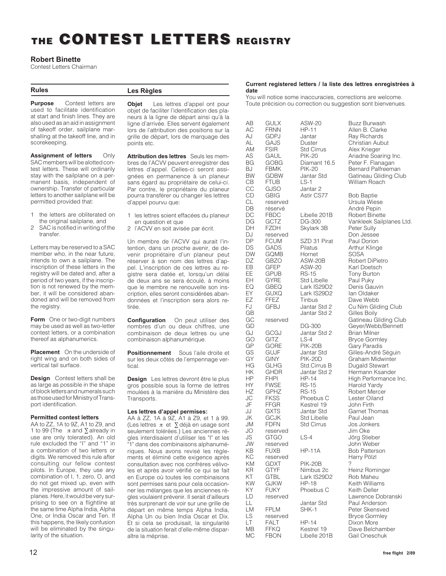### **THE CONTEST CONTEST LETTERS LETTERS REGISTRY REGISTRY**

#### **Robert Binette**

Contest Letters Chairman

#### **Rules**

**Les Règles**

**Purpose** Contest letters are used to facilitate identification at start and finish lines. They are also used as an aid in assignment of takeoff order, sailplane marshalling at the takeoff line, and in scorekeeping.

**Assignment of letters** Only SAC members will be alotted contest letters. These will ordinarily stay with the sailplane on a permanent basis, independent of ownership. Transfer of particular letters to another sailplane will be permitted provided that:

- 1 the letters are obliterated on the original sailplane, and
- 2 SAC is notified in writing of the transfer.

Letters may be reserved to a SAC member who, in the near future. intends to own a sailplane. The inscription of these letters in the registry will be dated and, after a period of two years, if the inscription is not renewed by the member, it will be considered abandoned and will be removed from the registry.

**Form** One or two-digit numbers may be used as well as two-letter contest letters, or a combination thereof as alphanumerics.

**Placement** On the underside of right wing and on both sides of vertical tail surface.

**Design** Contest letters shall be as large as possible in the shape of block letters and numerals such as those used for Ministry of Transport identification.

#### **Permitted contest letters**

AA to ZZ, 1A to 9Z, A1 to Z9, and 1 to 99 (The  $\pi$  and ∑ already in use are only tolerated). An old rule excluded the "I" and "1" in a combination of two letters or digits. We removed this rule after consulting our fellow contest pilots. In Europe, they use any combination of I, 1, zero, O, and do not get mixed up, even with the impressive amount of sailplanes. Here, it would be very surprising to see on a flightline at the same time Alpha India, Alpha One, or India Oscar and Ten. If this happens, the likely confusion will be eliminated by the singularity of the situation.

**Objet** Les lettres d'appel ont pour objet de faciliter l'identification des planeurs à la ligne de départ ainsi qu'à la ligne d'arrivée. Elles servent également lors de l'attribution des positions sur la grille de départ, lors de marquage des points etc.

**Attribution des lettres** Seuls les membres de l'ACVV peuvent enregistrer des lettres d'appel. Celles-ci seront assignées en permanence à un planeur sans égard au propriétaire de celui-ci. Par contre, le propriétaire du planeur pourra transférer ou changer les lettres d'appel pourvu que:

- 1 les lettres soient effacées du planeur en question et que
- 2 l'ACVV en soit avisée par écrit.

Un membre de l'ACVV qui aurait l'intention, dans un proche avenir, de devenir propriétaire d'un planeur peut réserver à son nom des lettres d'appel. L'inscription de ces lettres au registre sera datée et, lorsqu'un délai de deux ans se sera écoulé, à moins que le membre ne renouvelle son inscription, elles seront considérées abandonnées et l'inscription sera alors retirée.

**Configuration** On peut utiliser des nombres d'un ou deux chiffres, une combinaison de deux lettres ou une combinaison alphanumérique.

**Positionnement** Sous l'aile droite et sur les deux côtés de l'empennage vertical.

**Design** Les lettres devront être le plus gros possible sous la forme de lettres moulées à la manière du Ministère des Transports.

#### **Les lettres d'appel permises:**

AA à ZZ, 1A à 9Z, A1 à Z9, et 1 à 99. (Les lettres π et ∑ déjà en usage sont seulement tolérées.) Les anciennes règles interdisaient d'utiliser les "I" et les "1" dans des combinaisons alphanumériques. Nous avons revisé les règlements et éliminé cette exigence après consultation avec nos confrères vélivoles et après avoir vérifié ce qui se fait en Europe où toutes les combinaisons sont permises sans pour cela occasionner les mélanges que les anciennes règles voulaient prévenir. Il serait d'ailleurs très surprenant de voir sur une grille de départ en même temps Alpha India, Alpha Un ou bien India Oscar et Dix. Et si cela se produisait, la singularité de la situation ferait d'elle-même disparaître la méprise.

#### **Current registered letters / la liste des lettres enregistrées à date**

You will notice some inaccuracies, corrections are welcome. Toute précision ou correction ou suggestion sont bienvenues.

AC FRNN HP-11 Allen B. Clarke<br>AJ GDPJ Jantar Ray Richards AJ GDPJ Jantar Ray Richards<br>AL GAJS Duster Christian Aubu AL GAJS Duster Christian Aubut<br>AM FSIR Std Cirrus Alex Krieger AM FSIR Std Cirrus Alex Krieger<br>AS GAUL PIK-20 Ariadne Soal BG GOBG Diamant 16.5 Peter F. Flanagan<br>BJ FBMK PIK-20 Bernard Palfreema CB FTUB LS-1 William Roach<br>CC GJSO Jantar 2 CC GJSO Jantar 2<br>CD GBIG Astir CS77 CD GBIG Astir CS77 Bob Baptie<br>CL reserved Ursula Wies CL reserved Ursula Wiese DB réservé André Pepin<br>DC FBDC Libelle 201B Robert Binett DC FBDC Libelle 201B Robert Binette<br>DG GCTZ DG-300 Vankleek Sailp DH FZDH Skylark 3B<br>DJ reserved DJ reserved Don Jessee<br>
DP FCUM SZD 31 Pirat Paul Dorion DP FCUM SZD 31 Pirat<br>DS GADS Pilatus DS GADS Pilatus Arthur Klinge<br>DW GOMB Hornet SOSA DW GQMB Hornet<br>DZ GBZO ASW-20B DZ GBZO ASW-20B Robert DiPietro<br>EB GFEP ASW-20 Karl Doetsch GFEP ASW-20 Karl Doetsch<br>GPUB RS-15 Tony Burton EE GPUB RS-15 Tony Burton<br>EH GYRE Std Libelle Paul Puky EH GYRE Std Libelle<br>EQ GBEQ Lark IS29D2 EQ GBEQ Lark IS29D2 Denis Gauvin<br>EY GUXQ Lark IS29D2 Ian Oldaker EY GUXQ Lark IS29D2<br>EZ FFEZ Tinbus EZ FFEZ Tinbus Dave Webb<br>FJ GFBJ Jantar Std 2 Cu Nim Glid GB Jantar Std 2<br>GC reserved GJ GCGJ Jantar Std 2<br>GO GITZ LS-4 GO GITZ LS-4 Bryce Gormley<br>GP GORE PIK-20B Garv Paradis GP GORE PIK-20B Gary Paradis<br>GS GUJF Jantar Std Gilles-André t GY GINY PIK-20D Graham Midwinter<br>HG GLHG Std.Cirrus B Dugald Stewart HG GLHG Std.Cirrus B Dugald Stewart<br>HK GHDR Jantar Std 2 Hermann Ksanc HK GHDR Jantar Std 2 Hermann Ksander<br>
HP FHPI HP-14 High Performance HY FWSE RS-15 Harold Yardy<br>HZ GPHZ RS-15 Robert Merce HZ GPHZ RS-15 Robert Mercer<br>JC FKSS Phoebus C Lester Oiland JC FKSS Phoebus C Lester Oiland<br>JF FFGR Kestrel 19 John Firth JF FFGR Kestrel 19<br>JJ GXTS Jantar Std GXTS Jantar Std Garnet Thomas<br>GCJK Std Libelle Paul Jean JK GCJK Std Libelle Paul Jean JM FDFN Std Cirrus Jos Jonkers JO reserved Jim Oke JS GTGO LS-4 Jörg Stieber JW reserved John Weber<br>
KB FUXB HP-11A Bob Patterso KB FUXB HP-11A Bob Patterson<br>KC reserved Harry Pölzl KC reserved Harry Pölzl<br>KM GDXT PIK-20B ? KM GDXT PIK-20B<br>KR GTYF Nimbus 2c KR GTYF Nimbus 2c Heinz Rominger<br>KT GTBL Lark IS29D2 Rob Maheu KT GTBL Lark IS29D2<br>KW GJKW HP-18 KW GJKW HP-18 Keith Williams<br>KY FUKY Phoebus C Keith Deller KY FUKY Phoebus C Keith Deller<br>LD reserved Lawrence D LL Jantar Std Paul Anderson LM FPLM SHK-1 Peter Skensved<br>
LS reserved Bryce Gormley LS reserved Bryce Gormley<br>
LT FALT HP-14 Dixon More FALT HP-14 Dixon More<br>FFKQ Kestrel 19 Dave Belch MB FFKQ Kestrel 19 Dave Belchamber<br>MC FBON Libelle 201B Gail Oneschuk

AB GULX ASW-20 Buzz Burwash<br>AC FRNN HP-11 Allen B. Clarke AS GAUL PIK-20 Ariadne Soaring Inc.<br>BG GOBG Diamant 16.5 Peter F. Flanagan BJ FBMK PIK-20 Bernard Palfreeman<br>BW GDBW Jantar Std Gatineau Gliding Clu BW GDBW Jantar Std Gatineau Gliding Club<br>CB FTUB LS-1 William Roach DG GCTZ DG-300 Vankleek Sailplanes Ltd.<br>DH FZDH Skylark 3B Peter Sully FJ GFBJ Jantar Std 2 Cu Nim Gliding Club<br>GB Jantar Std 2 Gilles Boily GC reserved Gatineau Gliding Club<br>GD DG-300 Gever/Webb/Bennett GD DG-300 Geyer/Webb/Bennett GS GUJF Jantar Std Gilles-André Séguin<br>GY GINY PIK-20D Graham Midwinter HP FHPI HP-14 High Performance Inc.<br>HY FWSE RS-15 Harold Yardy LD reserved Lawrence Dobranski<br>LL Jantar Std Paul Anderson

Gail Oneschuk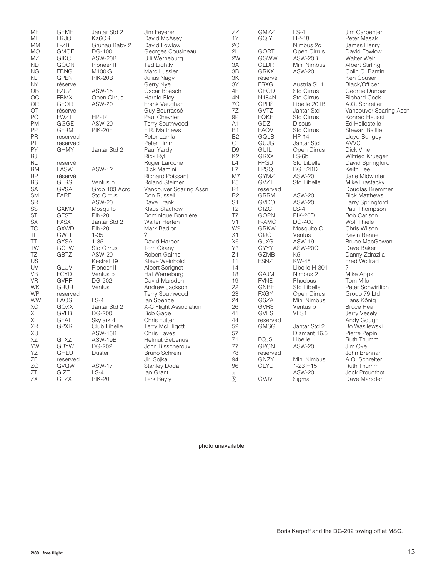| MF                      | <b>GEMF</b>         | Jantar Std 2            | Jim Feyerer             | ZZ<br>1Y       | <b>GMZZ</b>  | $LS-4$                  | Jim Carpenter                  |
|-------------------------|---------------------|-------------------------|-------------------------|----------------|--------------|-------------------------|--------------------------------|
| ML                      | <b>FKJO</b>         | Ka6CR                   | David McAsey            |                | <b>GQIY</b>  | <b>HP-18</b>            | Peter Masak                    |
| <b>MM</b>               | F-ZBH               | Grunau Baby 2           | David Fowlow            | 2C             |              | Nimbus 2c               | James Henry                    |
| <b>MO</b>               | <b>GMOE</b>         | DG-100                  | Georges Cousineau       | 2L             | <b>GORT</b>  | Open Cirrus             | David Fowlow                   |
| MZ                      | <b>GIKC</b>         | ASW-20B                 | Ulli Werneburg          | 2W             | GGWW         | ASW-20B                 | Walter Weir                    |
| <b>ND</b>               | <b>GOON</b>         | Pioneer II              | <b>Ted Lightly</b>      | 3A             | <b>GLDR</b>  | Mini Nimbus             | <b>Albert Stirling</b>         |
| <b>NG</b>               | <b>FBNG</b>         | M100-S                  | Marc Lussier            | 3B             | <b>GRKX</b>  | <b>ASW-20</b>           | Colin C. Bantin                |
| <b>NJ</b>               | <b>GPEN</b>         | <b>PIK-20B</b>          | Julius Nagy             | 3K             | réservé      |                         | Ken Couser                     |
| <b>NY</b>               | réservé             |                         | Gerry Nye               | 3Y             | <b>FRXG</b>  | Austria SH1             | Black/Officer                  |
| OB                      | <b>FZUZ</b>         | <b>ASW-15</b>           | Oscar Boesch            | 4E             | <b>GEOD</b>  | <b>Std Cirrus</b>       | George Dunbar                  |
| OC                      | <b>FBMX</b>         | Open Cirrus             | <b>Harold Elev</b>      | 4N             | <b>N184N</b> | <b>Std Cirrus</b>       | <b>Richard Cook</b>            |
| <b>OR</b>               | <b>GFOR</b>         | <b>ASW-20</b>           | Frank Vaughan           | 7G             | <b>GPRS</b>  | Libelle 201B            | A.O. Schreiter                 |
| OT                      | réservé             |                         | Guy Bourrassé           | 7Z             | <b>GVTZ</b>  | Jantar Std              | Vancouver Soaring Assn         |
| PC                      | <b>FWZT</b>         | $HP-14$                 | Paul Chevrier           | 9P             | <b>FQKE</b>  | <b>Std Cirrus</b>       | Konrad Heussi                  |
| <b>PM</b>               | GGGE                | <b>ASW-20</b>           | <b>Terry Southwood</b>  | A1             | GDZ          | <b>Discus</b>           | Ed Hollestelle                 |
| PP                      | <b>GFRM</b>         | <b>PIK-20E</b>          | F.R. Matthews           | <b>B1</b>      | <b>FAQV</b>  | <b>Std Cirrus</b>       | <b>Stewart Baillie</b>         |
| PR                      | reserved            |                         | Peter Lamla             | <b>B2</b>      | GQLB         | $HP-14$                 | Lloyd Bungey                   |
| PT                      | reserved            |                         | Peter Timm              | C <sub>1</sub> | GUJG         | Jantar Std              | <b>AVVC</b>                    |
| PY                      | <b>GHMY</b>         | Jantar Std 2            | Paul Yardy              | D <sub>9</sub> | <b>GUIL</b>  | Open Cirrus             | Dick Vine                      |
| RJ                      |                     |                         | Rick Ryll               | K <sub>2</sub> | <b>GRXX</b>  | $LS-6b$                 | <b>Wilfried Krueger</b>        |
| RL                      | réservé             |                         | Roger Laroche           | L4             | <b>FFGU</b>  | <b>Std Libelle</b>      | David Springford               |
| <b>RM</b>               | <b>FASW</b>         | <b>ASW-12</b>           | Dick Mamini             | L7             | <b>FPSQ</b>  | <b>BG 12BD</b>          | Keith Lee                      |
| <b>RP</b>               | réservé             |                         | <b>Richard Poissant</b> | M <sub>7</sub> | <b>GYMZ</b>  | <b>ASW-20</b>           | Jane Midwinter                 |
| <b>RS</b>               | <b>GTRS</b>         | Ventus b                | <b>Roland Steimer</b>   | P <sub>5</sub> | GVZT         | <b>Std Libelle</b>      | Mike Frastacky                 |
| SA                      | <b>GVSA</b>         | Grob 103 Acro           | Vancouver Soaring Assn  | R1             | reserved     |                         | Douglas Bremmer                |
| <b>SM</b>               | <b>FARE</b>         | <b>Std Cirrus</b>       | Don Russell             | R <sub>2</sub> | <b>GRRM</b>  | <b>ASW-20</b>           | <b>Rick Matthews</b>           |
| <b>SR</b>               |                     | <b>ASW-20</b>           | Dave Frank              | S <sub>1</sub> | <b>GVDO</b>  | <b>ASW-20</b>           | Larry Springford               |
| SS                      | <b>GXMO</b>         | Mosquito                | Klaus Stachow           | T <sub>2</sub> | GIZC         | $LS-4$                  | Paul Thompson                  |
| <b>ST</b>               | <b>GEST</b>         | <b>PIK-20</b>           | Dominique Bonnière      | T7             | <b>GOPN</b>  | <b>PIK-20D</b>          | <b>Bob Carlson</b>             |
| <b>SX</b>               | <b>FXSX</b>         | Jantar Std 2            | <b>Walter Herten</b>    | V <sub>1</sub> | F-AMG        | DG-400                  | Wolf Thiele                    |
| TC                      | <b>GXWD</b>         | <b>PIK-20</b>           | Mark Badior             | W <sub>2</sub> | <b>GRKW</b>  | Mosquito C              | Chris Wilson                   |
| TI                      | <b>GWTI</b>         | $1 - 35$                | ?                       | X1             | GIJO         | Ventus                  | Kevin Bennett                  |
| TT                      | <b>GYSA</b>         | $1 - 35$                | David Harper            | X <sub>6</sub> | <b>GJXG</b>  | <b>ASW-19</b>           | <b>Bruce MacGowan</b>          |
| TW                      | <b>GCTW</b>         | <b>Std Cirrus</b>       | Tom Okany               | Y3             | <b>GYYY</b>  | ASW-20CL                | Dave Baker                     |
| TZ                      | <b>GBTZ</b>         | <b>ASW-20</b>           | <b>Robert Gairns</b>    | Z1             | <b>GZMB</b>  | K <sub>5</sub>          | Danny Zdrazila                 |
| US                      |                     | Kestrel 19              | Steve Weinhold          | 11             | <b>FSNZ</b>  | <b>KW-45</b>            | Fred Wollrad                   |
| UV                      | <b>GLUV</b>         | Pioneer II              | Albert Sorignet         | 14             |              | Libelle H-301           | $\gamma$                       |
| <b>VB</b>               | <b>FCYD</b>         | Ventus b                | Hal Werneburg           | 18             | <b>GAJM</b>  | Nimbus 2                | Mike Apps                      |
| <b>VR</b>               | <b>GVRR</b>         | DG-202                  | David Marsden           | 19             | <b>FVNE</b>  | Phoebus                 | Tom Milc                       |
| <b>WK</b>               | <b>GRUR</b>         | Ventus                  | Andrew Jackson          | 22             | <b>GNBE</b>  | <b>Std Libelle</b>      | Peter Schwirtlich              |
| <b>WP</b>               | reserved            |                         | <b>Terry Southwood</b>  | 23             | <b>FXGY</b>  | Open Cirrus             | Group 79 Ltd                   |
| <b>WW</b>               | <b>FAOS</b>         | $LS-4$                  | lan Spence              | 24             | <b>GSZA</b>  | Mini Nimbus             | Hans König                     |
| ХC                      | <b>GOXX</b>         | Jantar Std 2            | X-C Flight Association  | 26             | <b>GVRS</b>  | Ventus b                | <b>Bruce Hea</b>               |
| $\mathsf{X} \mathsf{I}$ | <b>GVLB</b>         | DG-200                  | <b>Bob Gage</b>         | 41             | <b>GVES</b>  | VES1                    | Jerry Vesely                   |
| XL                      | <b>GFAI</b>         | Skylark 4               | <b>Chris Futter</b>     | 44             | reserved     |                         | Andy Gough                     |
| <b>XR</b>               | <b>GPXR</b>         | Club Libelle            | <b>Terry McElligott</b> | 52             | <b>GMSG</b>  | Jantar Std 2            | Bo Wasilewski                  |
| XU                      |                     | <b>ASW-15B</b>          | <b>Chris Eaves</b>      | 57             |              | Diamant 16.5            | Pierre Pepin                   |
| XZ                      | <b>GTXZ</b>         | ASW-19B                 | <b>Helmut Gebenus</b>   | 71             | <b>FQJS</b>  | Libelle                 | Ruth Thumm                     |
| YW                      | <b>GBYW</b>         | DG-202                  | John Bisscheroux        | 77             | <b>GPON</b>  | <b>ASW-20</b>           | Jim Oke                        |
| YΖ                      | <b>GHEU</b>         |                         |                         | 78             |              |                         |                                |
| ΖF                      |                     | Duster                  | <b>Bruno Schrein</b>    | 94             | reserved     |                         | John Brennan<br>A.O. Schreiter |
| ZQ                      | reserved            |                         | Jiri Sojka              | 96             | <b>GNZY</b>  | Mini Nimbus<br>1-23 H15 | Ruth Thumm                     |
| ZT                      | <b>GVQW</b>         | <b>ASW-17</b>           | <b>Stanley Doda</b>     |                | <b>GLYD</b>  |                         |                                |
| <b>ZX</b>               | GIZT<br><b>GTZX</b> | $LS-4$<br><b>PIK-20</b> | lan Grant               | $\pi$<br>Σ     | GVJV         | <b>ASW-20</b>           | Jock Proudfoot<br>Dave Marsden |
|                         |                     |                         | <b>Terk Bayly</b>       |                |              | Sigma                   |                                |

photo unavailable

Boris Karpoff and the DG-202 towing off at MSC.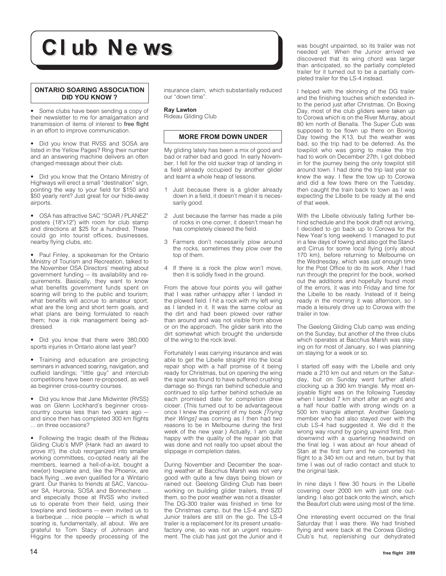## **CI ub Ne ws**

#### **ONTARIO SOARING ASSOCIATION DID YOU KNOW ?**

• Some clubs have been sending a copy of their newsletter to me for amalgamation and transmission of items of interest to free flight in an effort to improve communication.

• Did you know that RVSS and SOSA are listed in the Yellow Pages? Ring their number and an answering machine delivers an often changed message about their club.

• Did you know that the Ontario Ministry of Highways will erect a small "destination" sign, pointing the way to your field for \$150 and \$50 yearly rent? Just great for our hide-away airports.

• OSA has attractive SAC "SOAR / PLANEZ" posters (18"x12") with room for club stamp and directions at \$25 for a hundred. These could go into tourist offices, businesses, nearby flying clubs, etc.

• Paul Finley, a spokesman for the Ontario Ministry of Tourism and Recreation, talked to the November OSA Directors' meeting about government funding — its availability and requirements. Basically, they want to know what benefits government funds spent on soaring will bring to the public and tourism; what benefits will accrue to amateur sport; what are the long and short term goals, and what plans are being formulated to reach them; how is risk management being addressed.

• Did you know that there were 380,000 sports injuries in Ontario alone last year?

• Training and education are projecting seminars in advanced soaring, navigation, and outfield landings; "little guy" and interclub competitions have been re-proposed, as well as beginner cross-country courses.

• Did you know that Jane Midwinter (RVSS) was on Glenn Lockhard's beginner crosscountry course less than two years ago and since then has completed 300 km flights ... on three occasions?

• Following the tragic death of the Rideau Gliding Club's MVP (Hank had an award to prove it!), the club reorganized into smaller working committees, co-opted nearly all the members, learned a hell-of-a-lot, bought a new(er) towplane and, like the Phoenix, are back flying ...we even qualified for a Wintario grant. Our thanks to friends at SAC, Vancouver SA, Huronia, SOSA and Bonnechere ... and especially those at RVSS who invited us to operate from their field, using their towplane and tiedowns — even invited us to a barbeque ... nice people — which is what soaring is, fundamentally, all about. We are grateful to Tom Stacy of Johnson and Higgins for the speedy processing of the

insurance claim, which substantially reduced our "down time".

#### **Ray Lawton**

Rideau Gliding Club

#### **MORE FROM DOWN UNDER**

My gliding lately has been a mix of good and bad or rather bad and good. In early November, I fell for the old sucker trap of landing in a field already occupied by another glider and learnt a whole heap of lessons.

- 1 Just because there is a glider already down in a field, it doesn't mean it is necessarily good.
- 2 Just because the farmer has made a pile of rocks in one corner, it doesn't mean he has completely cleared the field.
- 3 Farmers don't necessarily plow around the rocks, sometimes they plow over the top of them.
- 4 If there is a rock the plow won't move, then it is solidly fixed in the ground.

From the above four points you will gather that I was rather unhappy after I landed in the plowed field. I hit a rock with my left wing as I landed in it. It was the same colour as the dirt and had been plowed over rather than around and was not visible from above or on the approach. The glider sank into the dirt somewhat which brought the underside of the wing to the rock level.

Fortunately I was carrying insurance and was able to get the Libelle straight into the local repair shop with a half promise of it being ready for Christmas, but on opening the wing the spar was found to have suffered crushing damage so things ran behind schedule and continued to slip further behind schedule as each promised date for completion drew closer. (This turned out to be advantageous once I knew the preprint of my book *[Trying* their Wings] was coming as I then had two reasons to be in Melbourne during the first week of the new year.) Actually, I am quite happy with the quality of the repair job that was done and not really too upset about the slippage in completion dates.

During November and December the soaring weather at Bacchus Marsh was not very good with quite a few days being blown or rained out. Geelong Gliding Club has been working on building glider trailers, three of them, so the poor weather was not a disaster. The DG-300 trailer was finished in time for the Christmas camp, but the LS-4 and SZD Junior trailers are still on the go. The LS-4 trailer is a replacement for its present unsatisfactory one, so was not an urgent requirement. The club has just got the Junior and it

was bought unpainted, so its trailer was not needed yet. When the Junior arrived we discovered that its wing chord was larger than anticipated, so the partially completed trailer for it turned out to be a partially completed trailer for the LS-4 instead.

I helped with the skinning of the DG trailer and the finishing touches which extended into the period just after Christmas. On Boxing Day, most of the club gliders were taken up to Corowa which is on the River Murray, about 80 km north of Benalla. The Super Cub was supposed to be flown up there on Boxing Day towing the K13, but the weather was bad, so the trip had to be deferred. As the towpilot who was going to make the trip had to work on December 27th, I got dobbed in for the journey being the only towpilot still around town. I had done the trip last year so knew the way. I flew the tow up to Corowa and did a few tows there on the Tuesday, then caught the train back to town as I was expecting the Libelle to be ready at the end of that week.

With the Libelle obviously falling further behind schedule and the book draft not arriving, I decided to go back up to Corowa for the New Year's long weekend. I managed to put in a few days of towing and also got the Standard Cirrus for some local flying (only about 170 km), before returning to Melbourne on the Wednesday, which was just enough time for the Post Office to do its work. After I had run through the preprint for the book, worked out the additions and hopefully found most of the errors, it was into Friday and time for the Libelle to be ready. Instead of it being ready in the morning it was afternoon, so I made a leisurely drive up to Corowa with the trailer in tow.

The Geelong Gliding Club camp was ending on the Sunday, but another of the three clubs which operates at Bacchus Marsh was staying on for most of January, so I was planning on staying for a week or so.

I started off easy with the Libelle and only made a 210 km out and return on the Saturday, but on Sunday went further afield clocking up a 390 km triangle. My most enjoyable flight was on the following Tuesday when I landed 7 km short after an eight and a half hour battle with strong winds on a 500 km triangle attempt. Another Geelong member who had also stayed over with the club LS-4 had suggested it. We did it the wrong way round by going upwind first, then downwind with a quartering headwind on the final leg. I was about an hour ahead of Stan at the first turn and he converted his flight to a 340 km out and return, but by that time I was out of radio contact and stuck to the original task.

In nine days I flew 30 hours in the Libelle covering over 2000 km with just one outlanding. I also got back onto the winch, which the Beaufort club were using most of the time.

One interesting event occurred on the final Saturday that I was there. We had finished flying and were back at the Corowa Gliding Club's hut, replenishing our dehydrated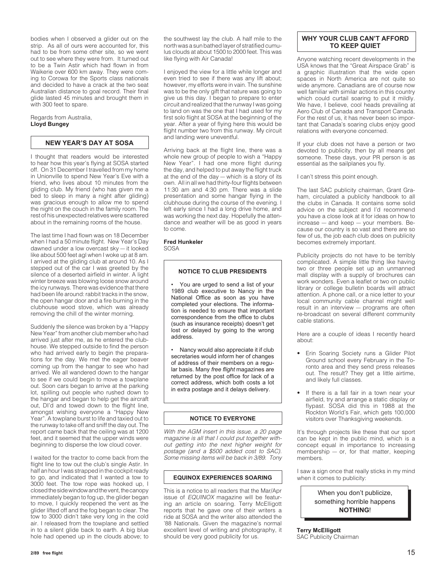bodies when I observed a glider out on the strip. As all of ours were accounted for, this had to be from some other site, so we went out to see where they were from. It turned out to be a Twin Astir which had flown in from Waikerie over 600 km away. They were coming to Corowa for the Sports class nationals and decided to have a crack at the two seat Australian distance to goal record. Their final glide lasted 45 minutes and brought them in with 300 feet to spare.

Regards from Australia, **Lloyd Bungey**

#### **NEW YEAR'S DAY AT SOSA**

I thought that readers would be interested to hear how this year's flying at SOSA started off. On 31 December I travelled from my home in Unionville to spend New Year's Eve with a friend, who lives about 10 minutes from the gliding club. My friend (who has given me a bed to sleep in many a night after gliding) was gracious enough to allow me to spend the night on the couch in the family room. The rest of his unexpected relatives were scattered about in the remaining rooms of the house.

The last time I had flown was on 18 December when I had a 50 minute flight. New Year's Day dawned under a low overcast sky — it looked like about 500 feet agl when I woke up at 8 am. I arrived at the gliding club at around 10. As I stepped out of the car I was greeted by the silence of a deserted airfield in winter. A light winter breeze was blowing loose snow around the icy runways. There was evidence that there had been life around: rabbit tracks in the snow, the open hangar door and a fire burning in the clubhouse wood stove, which was already removing the chill of the winter morning.

Suddenly the silence was broken by a "Happy New Year" from another club member who had arrived just after me, as he entered the clubhouse. We stepped outside to find the person who had arrived early to begin the preparations for the day. We met the eager beaver coming up from the hangar to see who had arrived. We all wandered down to the hangar to see if we could begin to move a towplane out. Soon cars began to arrive at the parking lot, spilling out people who rushed down to the hangar and began to help get the aircraft out, DI'd and towed down to the flight line, amongst wishing everyone a "Happy New Year". A towplane burst to life and taxied out to the runway to take off and sniff the day out. The report came back that the ceiling was at 1200 feet, and it seemed that the upper winds were beginning to disperse the low cloud cover.

I waited for the tractor to come back from the flight line to tow out the club's single Astir. In half an hour I was strapped in the cockpit ready to go, and indicated that I wanted a tow to 3000 feet. The tow rope was hooked up, I closed the side window and the vent, the canopy immediately began to fog up, the glider began to move, I quickly reopened the vent as the glider lifted off and the fog began to clear. The tow to 3000 didn't take very long in the cold air. I released from the towplane and settled in to a silent glide back to earth. A big blue hole had opened up in the clouds above; to the southwest lay the club. A half mile to the north was a sun bathed layer of stratified cumulus clouds at about 1500 to 2000 feet. This was like flying with Air Canada!

I enjoyed the view for a little while longer and even tried to see if there was any lift about; however, my efforts were in vain. The sunshine was to be the only gift that nature was going to give us this day. I began to prepare to enter circuit and realized that the runway I was going to land on was the one that I had used for my first solo flight at SOSA at the beginning of the year. After a year of flying here this would be flight number two from this runway. My circuit and landing were uneventful.

Arriving back at the flight line, there was a whole new group of people to wish a "Happy New Year". I had one more flight during the day, and helped to put away the flight truck at the end of the day — which is a story of its own. All in all we had thirty-four flights between 11:30 am and 4:30 pm. There was a slide presentation and some hangar flying in the clubhouse during the course of the evening. I left early since I had a long drive home, and was working the next day. Hopefully the attendance and weather will be as good in years to come.

#### **Fred Hunkeler** SOSA

#### **NOTICE TO CLUB PRESIDENTS**

• You are urged to send a list of your 1989 club executive to Nancy in the National Office as soon as you have completed your elections. The information is needed to ensure that important correspondence from the office to clubs (such as insurance receipts) doesn't get lost or delayed by going to the wrong address.

• Nancy would also appreciate it if club secretaries would inform her of changes of address of their members on a regular basis. Many *free flight* magazines are returned by the post office for lack of a correct address, which both costs a lot in extra postage and it delays delivery.

#### **NOTICE TO EVERYONE**

With the AGM insert in this issue, a 20 page magazine is all that I could put together without getting into the next higher weight for postage (and a \$500 added cost to SAC). Some missing items will be back in 3/89. Tony

#### **EQUINOX EXPERIENCES SOARING**

This is a notice to all readers that the Mar/Apr issue of EQUINOX magazine will be featuring an article on soaring. Terry McElligott reports that he gave one of their writers a ride at SOSA and the writer also attended the '88 Nationals. Given the magazine's normal excellent level of writing and photography, it should be very good publicity for us.

#### **WHY YOUR CLUB CAN'T AFFORD TO KEEP QUIET**

Anyone watching recent developments in the USA knows that the "Great Airspace Grab" is a graphic illustration that the wide open spaces in North America are not quite so wide anymore. Canadians are of course now well familiar with similar actions in this country which could curtail soaring to put it mildly. We have, I believe, cool heads prevailing at Aero Club of Canada and Transport Canada. For the rest of us, it has never been so important that Canada's soaring clubs enjoy good relations with everyone concerned.

If your club does not have a person or two devoted to publicity, then by all means get someone. These days, your PR person is as essential as the sailplanes you fly.

I can't stress this point enough.

The last SAC publicity chairman, Grant Graham, circulated a publicity handbook to all the clubs in Canada. It contains some solid advice on the subject and I'd recommend you have a close look at it for ideas on how to increase — and keep — your members. Because our country is so vast and there are so few of us, the job each club does on publicity becomes extremely important.

Publicity projects do not have to be terribly complicated. A simple little thing like having two or three people set up an unmanned mall display with a supply of brochures can work wonders. Even a leaflet or two on public library or college bulletin boards will attract attention. A phone call, or a nice letter to your local community cable channel might well result in an interview — programs are often re-broadcast on several different community cable stations.

Here are a couple of ideas I recently heard about:

- Erin Soaring Society runs a Glider Pilot Ground school every February in the Toronto area and they send press releases out. The result? They get a little airtime, and likely full classes.
- If there is a fall fair in a town near your airfield, try and arrange a static display or flypast. SOSA did this in 1988 at the Rockton World's Fair, which gets 100,000 visitors over Thanksgiving weekends.

It's through projects like these that our sport can be kept in the public mind, which is a concept equal in importance to increasing membership — or, for that matter, keeping members.

I saw a sign once that really sticks in my mind when it comes to publicity:

> When you don't publicize, something horrible happens **NOTHING**!

**Terry McElligott** SAC Publicity Chairman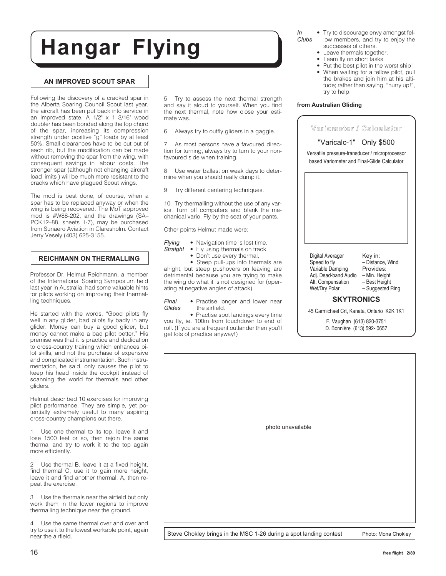## **Hangar Flying**

#### **AN IMPROVED SCOUT SPAR**

Following the discovery of a cracked spar in the Alberta Soaring Council Scout last year, the aircraft has been put back into service in an improved state. A 1/2" x 1 3/16" wood doubler has been bonded along the top chord of the spar, increasing its compression strength under positive "g" loads by at least 50%. Small clearances have to be cut out of each rib, but the modification can be made without removing the spar from the wing, with consequent savings in labour costs. The stronger spar (although not changing aircraft load limits ) will be much more resistant to the cracks which have plagued Scout wings.

The mod is best done, of course, when a spar has to be replaced anyway or when the wing is being recovered. The MoT approved mod is #W88-202, and the drawings (SA– PCK12–88, sheets 1-7), may be purchased from Sunaero Aviation in Claresholm. Contact Jerry Vesely (403) 625-3155.

#### **REICHMANN ON THERMALLING**

Professor Dr. Helmut Reichmann, a member of the International Soaring Symposium held last year in Australia, had some valuable hints for pilots working on improving their thermalling techniques.

He started with the words, "Good pilots fly well in any glider, bad pilots fly badly in any glider. Money can buy a good glider, but money cannot make a bad pilot better." His premise was that it is practice and dedication to cross-country training which enhances pilot skills, and not the purchase of expensive and complicated instrumentation. Such instrumentation, he said, only causes the pilot to keep his head inside the cockpit instead of scanning the world for thermals and other gliders.

Helmut described 10 exercises for improving pilot performance. They are simple, yet potentially extremely useful to many aspiring cross-country champions out there.

Use one thermal to its top, leave it and lose 1500 feet or so, then rejoin the same thermal and try to work it to the top again more efficiently.

Use thermal B, leave it at a fixed height, find thermal C, use it to gain more height, leave it and find another thermal, A, then repeat the exercise.

3 Use the thermals near the airfield but only work them in the lower regions to improve thermalling technique near the ground.

4 Use the same thermal over and over and try to use it to the lowest workable point, again near the airfield.

5 Try to assess the next thermal strength and say it aloud to yourself. When you find the next thermal, note how close your estimate was.

6 Always try to outfly gliders in a gaggle.

7 As most persons have a favoured direction for turning, always try to turn to your nonfavoured side when training.

8 Use water ballast on weak days to determine when you should really dump it.

9 Try different centering techniques.

10 Try thermalling without the use of any varios. Turn off computers and blank the mechanical vario. Fly by the seat of your pants.

Other points Helmut made were:

- *Flying* Navigation time is lost time.
- **Straight** Fly using thermals on track.
	- Don't use every thermal.

• Steep pull-ups into thermals are alright, but steep pushovers on leaving are detrimental because you are trying to make the wing do what it is not designed for (operating at negative angles of attack).

*Final* • Practise longer and lower near *Glides* the airfield.

• Practise spot landings every time you fly, ie. 100m from touchdown to end of roll. (If you are a frequent outlander then you'll get lots of practice anyway!)

- Try to discourage envy amongst fellow members, and try to enjoy the successes of others. *In Clubs*
	- Leave thermals together.
	- Team fly on short tasks.
	- Put the best pilot in the worst ship! • When waiting for a fellow pilot, pull the brakes and join him at his altitude; rather than saying, "hurry up!", try to help.

#### **from Australian Gliding**

| Variometer / Calculator                                                                       |                                          |
|-----------------------------------------------------------------------------------------------|------------------------------------------|
| "Varicalc-1" Only \$500                                                                       |                                          |
| Versatile pressure-transducer / microprocessor<br>based Variometer and Final-Glide Calculator |                                          |
|                                                                                               |                                          |
|                                                                                               |                                          |
|                                                                                               |                                          |
|                                                                                               |                                          |
|                                                                                               |                                          |
| Digital Averager<br>Speed to fly<br>Variable Damping                                          | Key in:<br>- Distance, Wind<br>Provides: |
| Adj. Dead-band Audio - Min. Height<br>Alt. Compensation - Best Height                         |                                          |
| Wet/Dry Polar                                                                                 | - Suggested Ring                         |
| <b>SKYTRONICS</b>                                                                             |                                          |
| 45 Carmichael Crt, Kanata, Ontario K2K 1K1                                                    |                                          |
|                                                                                               | F. Vaughan (613) 820-3751                |

| photo unavailable |
|-------------------|
|                   |
|                   |
|                   |

Steve Chokley brings in the MSC 1-26 during a spot landing contest Photo: Mona Chokley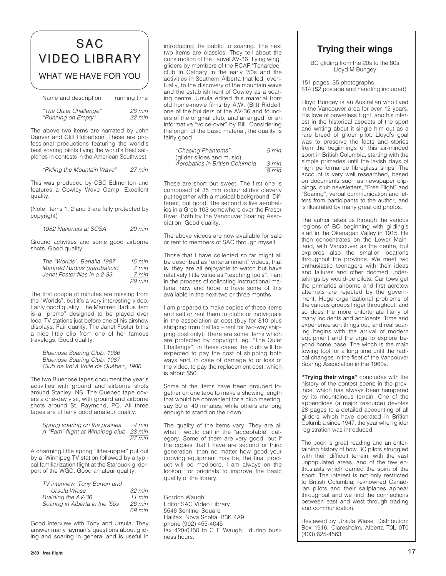### SAC VIDEO LIBRARY VIDEO LIBRARY WHAT WE HAVE FOR YOU

| Name and description  | running time |
|-----------------------|--------------|
| "The Quiet Challenge" | 28 min       |
| "Running on Empty"    | $22$ min     |

The above two items are narrated by John Denver and Cliff Robertson. These are professional productions featuring the world's best soaring pilots flying the world's best sailplanes in contests in the American Southwest.

"Riding the Mountain Wave" 27 min

This was produced by CBC Edmonton and features a Cowley Wave Camp. Excellent quality.

(Note: items 1, 2 and 3 are fully protected by copyright)

| 1982 Nationals at SOSA | 29 min |
|------------------------|--------|

Ground activities and some good airborne shots. Good quality.

| The "Worlds". Benalla 1987   | $15 \text{ min}$ |
|------------------------------|------------------|
| Manfred Radius (aerobatics)  | 7 min            |
| Janet Foster flies in a 2-33 | 7 min            |
|                              | $29$ min         |

The first couple of minutes are missing from the "Worlds", but it's a very interesting video. Fairly good quality. The Manfred Radius item is a "promo" designed to be played over local TV stations just before one of his airshow displays. Fair quality. The Janet Foster bit is a nice little clip from one of her famous travelogs. Good quality.

Bluenose Soaring Club, 1986 Bluenose Soaring Club, 1987 Club de Vol à Voile de Québec, 1986

The two Bluenose tapes document the year's activities with ground and airborne shots around Stanley, NS. The Quebec tape covers a one-day visit, with ground and airborne shots around St. Raymond, PQ. All three tapes are of fairly good amateur quality.

| Spring soaring on the prairies         | 4 min  |
|----------------------------------------|--------|
| A "Fam" flight at Winnipeg club 23 min |        |
|                                        | 27 min |

A charming little spring "lifter-upper" put out by a Winnipeg TV station followed by a typical familiarization flight at the Starbuck gliderport of the WGC. Good amateur quality.

| TV interview, Tony Burton and  |                  |
|--------------------------------|------------------|
| Ursula Wiese                   | $32 \text{ min}$ |
| Building the AV-36             | $11$ min         |
| Soaring in Alberta in the '50s | $26 \text{ min}$ |
|                                | 69 min           |

Good interview with Tony and Ursula. They answer many layman's questions about gliding and soaring in general and is useful in introducing the public to soaring. The next two items are classics. They tell about the construction of the Fauvel AV-36 "flying wing" gliders by members of the RCAF "Tenardee" club in Calgary in the early '50s and the activities in Southern Alberta that led, eventually, to the discovery of the mountain wave and the establishment of Cowley as a soaring centre. Ursula edited this material from old home-movie films by A.W. (Bill) Riddell, one of the builders of the AV-36 and founders of the original club, and arranged for an informative "voice-over" by Bill. Considering the origin of the basic material, the quality is fairly good.

| "Chasing Phantoms"             | 5 min |
|--------------------------------|-------|
| (glider slides and music)      |       |
| Aerobatics in British Columbia | 3 min |
|                                | 8 min |

These are short but sweet. The first one is composed of 35 mm colour slides cleverly put together with a musical background. Different, but good. The second is live aerobatics in a Grob 103 somewhere over the Fraser River. Both by the Vancouver Soaring Association. Good quality.

The above videos are now available for sale or rent to members of SAC through myself.

Those that I have collected so far might all be described as "entertainment" videos, that is, they are all enjoyable to watch but have relatively little value as "teaching tools". I am in the process of collecting instructional material now and hope to have some of this available in the next two or three months.

I am prepared to make copies of these items and sell or rent them to clubs or individuals in the association at cost (buy for \$10 plus shipping from Halifax – rent for two-way shipping cost only). There are some items which are protected by copyright, eg. "The Quiet Challenge"; in these cases the club will be expected to pay the cost of shipping both ways and, in case of damage to or loss of the video, to pay the replacement cost, which is about \$50.

Some of the items have been grouped together on one tape to make a showing length that would be convenient for a club meeting, say 30 or 40 minutes, while others are long enough to stand on their own.

The quality of the items vary. They are all what I would call in the "acceptable" category. Some of them are very good, but if the copies that I have are second or third generation, then no matter how good your copying equipment may be, the final product will be mediocre. I am always on the lookout for originals to improve the basic quality of the library.

Gordon Waugh Editor SAC Video Library 5546 Sentinel Square Halifax, Nova Scotia B3K 4A9 phone (902) 455-4045 fax 420-0150 to C E Waugh during business hours.

### **Trying their wings**

BC gliding from the 20s to the 80s Lloyd M Bungey

151 pages, 35 photographs \$14 (\$2 postage and handling included)

Lloyd Bungey is an Australian who lived in the Vancouver area for over 12 years. His love of powerless flight, and his interest in the historical aspects of the sport and writing about it single him out as a rare breed of glider pilot. Lloyd's goal was to preserve the facts and stories from the beginnings of this air-minded sport in British Columbia, starting with the simple primaries until the lavish days of high performance fibreglass ships. The account is very well researched, based on documents such as newspaper clippings, club newsletters, "Free Flight" and "Soaring", verbal communication and letters from participants to the author, and is illustrated by many great old photos.

The author takes us through the various regions of BC beginning with gliding's start in the Okanagan Valley in 1915. He then concentrates on the Lower Mainland, with Vancouver as the centre, but explores also the smaller locations throughout the province. We meet two enthusiastic teenagers with their ideas and failures and other doomed undertakings by would-be pilots. Car tows get the primaries airborne and first aerotow attempts are rejected by the government. Huge organizational problems of the various groups linger throughout, and so does the more unfortunate litany of many incidents and accidents. Time and experience sort things out, and real soaring begins with the arrival of modern equipment and the urge to explore beyond home base. The winch is the main towing tool for a long time until the radical changes in the fleet of the Vancouver Soaring Association in the 1960s.

**"Trying their wings"** concludes with the history of the contest scene in the province, which has always been hampered by its mountainous terrain. One of the appendices (a major resource) devotes 28 pages to a detailed accounting of all gliders which have operated in British Columbia since 1947, the year when glider registration was introduced.

The book is great reading and an entertaining history of how BC pilots struggled with their difficult terrain, with the vast unpopulated areas, and of the few enthusiasts which carried the spirit of the sport. The interest is not only restricted to British Columbia; reknowned Canadian pilots and their sailplanes appear throughout and we find the connections between east and west through trading and communication.

Reviewed by Ursula Wiese. Distribution: Box 1916, Claresholm, Alberta T0L 0T0 (403) 625-4563